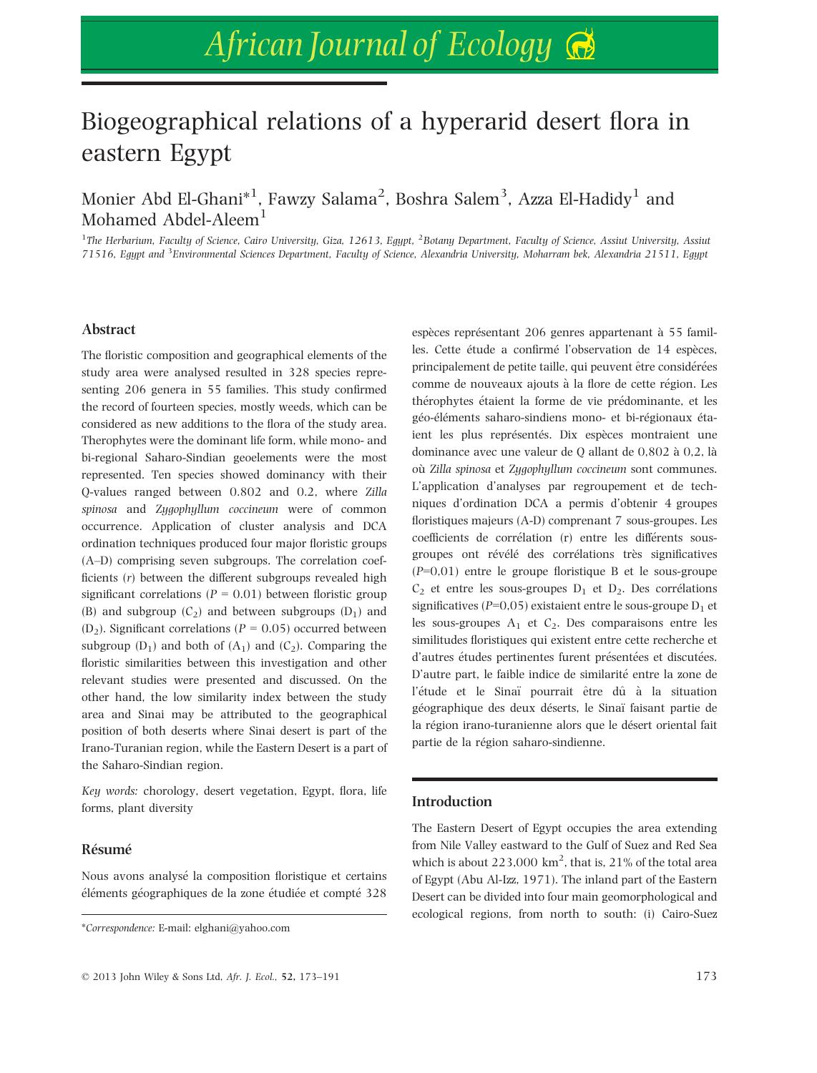# Biogeographical relations of a hyperarid desert flora in eastern Egypt

Monier Abd El-Ghani $^{\ast1}$ , Fawzy Salama $^2$ , Boshra Salem $^3$ , Azza El-Hadidy $^1$  and Mohamed Abdel-Aleem<sup>1</sup>

<sup>1</sup>The Herbarium, Faculty of Science, Cairo University, Giza, 12613, Egypt, <sup>2</sup>Botany Department, Faculty of Science, Assiut University, Assiut 71516, Egypt and <sup>3</sup>Environmental Sciences Department, Faculty of Science, Alexandria University, Moharram bek, Alexandria 21511, Egypt

### Abstract

The floristic composition and geographical elements of the study area were analysed resulted in 328 species representing 206 genera in 55 families. This study confirmed the record of fourteen species, mostly weeds, which can be considered as new additions to the flora of the study area. Therophytes were the dominant life form, while mono- and bi-regional Saharo-Sindian geoelements were the most represented. Ten species showed dominancy with their Q-values ranged between 0.802 and 0.2, where Zilla spinosa and Zygophyllum coccineum were of common occurrence. Application of cluster analysis and DCA ordination techniques produced four major floristic groups (A–D) comprising seven subgroups. The correlation coefficients (r) between the different subgroups revealed high significant correlations ( $P = 0.01$ ) between floristic group (B) and subgroup  $(C_2)$  and between subgroups  $(D_1)$  and  $(D_2)$ . Significant correlations ( $P = 0.05$ ) occurred between subgroup  $(D_1)$  and both of  $(A_1)$  and  $(C_2)$ . Comparing the floristic similarities between this investigation and other relevant studies were presented and discussed. On the other hand, the low similarity index between the study area and Sinai may be attributed to the geographical position of both deserts where Sinai desert is part of the Irano-Turanian region, while the Eastern Desert is a part of the Saharo-Sindian region.

Key words: chorology, desert vegetation, Egypt, flora, life forms, plant diversity

#### Resume

Nous avons analyse la composition floristique et certains éléments géographiques de la zone étudiée et compté 328

espèces représentant 206 genres appartenant à 55 familles. Cette étude a confirmé l'observation de 14 espèces, principalement de petite taille, qui peuvent être considérées comme de nouveaux ajouts à la flore de cette région. Les therophytes etaient la forme de vie predominante, et les géo-éléments saharo-sindiens mono- et bi-régionaux étaient les plus représentés. Dix espèces montraient une dominance avec une valeur de Q allant de 0,802 à 0,2, là où Zilla spinosa et Zugophullum coccineum sont communes. L'application d'analyses par regroupement et de techniques d'ordination DCA a permis d'obtenir 4 groupes floristiques majeurs (A-D) comprenant 7 sous-groupes. Les coefficients de correlation (r) entre les differents sousgroupes ont révélé des corrélations très significatives (P=0,01) entre le groupe floristique B et le sous-groupe  $C_2$  et entre les sous-groupes  $D_1$  et  $D_2$ . Des corrélations significatives ( $P=0.05$ ) existaient entre le sous-groupe  $D_1$  et les sous-groupes  $A_1$  et  $C_2$ . Des comparaisons entre les similitudes floristiques qui existent entre cette recherche et d'autres études pertinentes furent présentées et discutées. D'autre part, le faible indice de similarité entre la zone de l'étude et le Sinaï pourrait être dû à la situation géographique des deux déserts, le Sinaï faisant partie de la région irano-turanienne alors que le désert oriental fait partie de la région saharo-sindienne.

#### Introduction

The Eastern Desert of Egypt occupies the area extending from Nile Valley eastward to the Gulf of Suez and Red Sea which is about  $223,000 \text{ km}^2$ , that is,  $21\%$  of the total area of Egypt (Abu Al-Izz, 1971). The inland part of the Eastern Desert can be divided into four main geomorphological and ecological regions, from north to south: (i) Cairo-Suez

<sup>\*</sup>Correspondence: E-mail: elghani@yahoo.com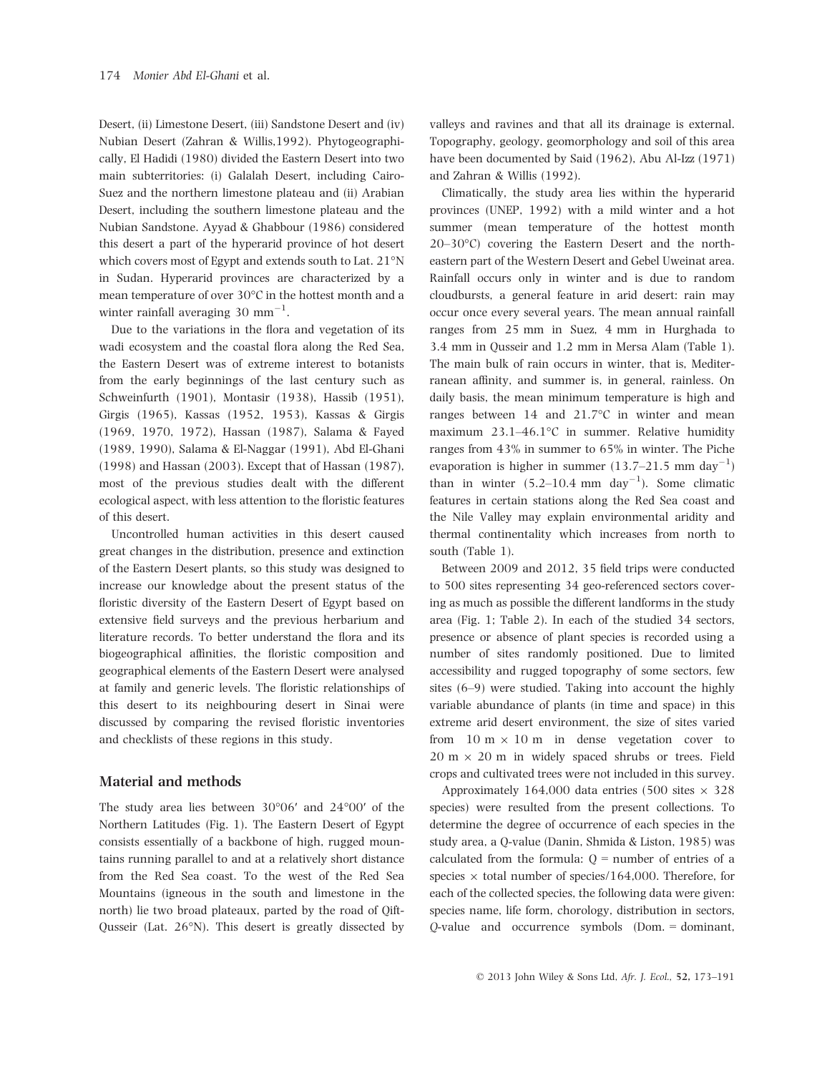Desert, (ii) Limestone Desert, (iii) Sandstone Desert and (iv) Nubian Desert (Zahran & Willis,1992). Phytogeographically, El Hadidi (1980) divided the Eastern Desert into two main subterritories: (i) Galalah Desert, including Cairo-Suez and the northern limestone plateau and (ii) Arabian Desert, including the southern limestone plateau and the Nubian Sandstone. Ayyad & Ghabbour (1986) considered this desert a part of the hyperarid province of hot desert which covers most of Egypt and extends south to Lat. 21°N in Sudan. Hyperarid provinces are characterized by a mean temperature of over 30°C in the hottest month and a winter rainfall averaging  $30$   $\text{mm}^{-1}$ .

Due to the variations in the flora and vegetation of its wadi ecosystem and the coastal flora along the Red Sea, the Eastern Desert was of extreme interest to botanists from the early beginnings of the last century such as Schweinfurth (1901), Montasir (1938), Hassib (1951), Girgis (1965), Kassas (1952, 1953), Kassas & Girgis (1969, 1970, 1972), Hassan (1987), Salama & Fayed (1989, 1990), Salama & El-Naggar (1991), Abd El-Ghani (1998) and Hassan (2003). Except that of Hassan (1987), most of the previous studies dealt with the different ecological aspect, with less attention to the floristic features of this desert.

Uncontrolled human activities in this desert caused great changes in the distribution, presence and extinction of the Eastern Desert plants, so this study was designed to increase our knowledge about the present status of the floristic diversity of the Eastern Desert of Egypt based on extensive field surveys and the previous herbarium and literature records. To better understand the flora and its biogeographical affinities, the floristic composition and geographical elements of the Eastern Desert were analysed at family and generic levels. The floristic relationships of this desert to its neighbouring desert in Sinai were discussed by comparing the revised floristic inventories and checklists of these regions in this study.

#### Material and methods

The study area lies between 30°06′ and 24°00′ of the Northern Latitudes (Fig. 1). The Eastern Desert of Egypt consists essentially of a backbone of high, rugged mountains running parallel to and at a relatively short distance from the Red Sea coast. To the west of the Red Sea Mountains (igneous in the south and limestone in the north) lie two broad plateaux, parted by the road of Qift-Qusseir (Lat. 26°N). This desert is greatly dissected by

valleys and ravines and that all its drainage is external. Topography, geology, geomorphology and soil of this area have been documented by Said (1962), Abu Al-Izz (1971) and Zahran & Willis (1992).

Climatically, the study area lies within the hyperarid provinces (UNEP, 1992) with a mild winter and a hot summer (mean temperature of the hottest month 20–30°C) covering the Eastern Desert and the northeastern part of the Western Desert and Gebel Uweinat area. Rainfall occurs only in winter and is due to random cloudbursts, a general feature in arid desert: rain may occur once every several years. The mean annual rainfall ranges from 25 mm in Suez, 4 mm in Hurghada to 3.4 mm in Qusseir and 1.2 mm in Mersa Alam (Table 1). The main bulk of rain occurs in winter, that is, Mediterranean affinity, and summer is, in general, rainless. On daily basis, the mean minimum temperature is high and ranges between 14 and 21.7°C in winter and mean maximum 23.1–46.1°C in summer. Relative humidity ranges from 43% in summer to 65% in winter. The Piche evaporation is higher in summer  $(13.7–21.5 \text{ mm day}^{-1})$ than in winter  $(5.2-10.4 \text{ mm day}^{-1})$ . Some climatic features in certain stations along the Red Sea coast and the Nile Valley may explain environmental aridity and thermal continentality which increases from north to south (Table 1).

Between 2009 and 2012, 35 field trips were conducted to 500 sites representing 34 geo-referenced sectors covering as much as possible the different landforms in the study area (Fig. 1; Table 2). In each of the studied 34 sectors, presence or absence of plant species is recorded using a number of sites randomly positioned. Due to limited accessibility and rugged topography of some sectors, few sites (6–9) were studied. Taking into account the highly variable abundance of plants (in time and space) in this extreme arid desert environment, the size of sites varied from  $10 \text{ m} \times 10 \text{ m}$  in dense vegetation cover to  $20 \text{ m} \times 20 \text{ m}$  in widely spaced shrubs or trees. Field crops and cultivated trees were not included in this survey.

Approximately 164,000 data entries (500 sites  $\times$  328 species) were resulted from the present collections. To determine the degree of occurrence of each species in the study area, a Q-value (Danin, Shmida & Liston, 1985) was calculated from the formula:  $Q =$  number of entries of a species  $\times$  total number of species/164,000. Therefore, for each of the collected species, the following data were given: species name, life form, chorology, distribution in sectors, Q-value and occurrence symbols (Dom. = dominant,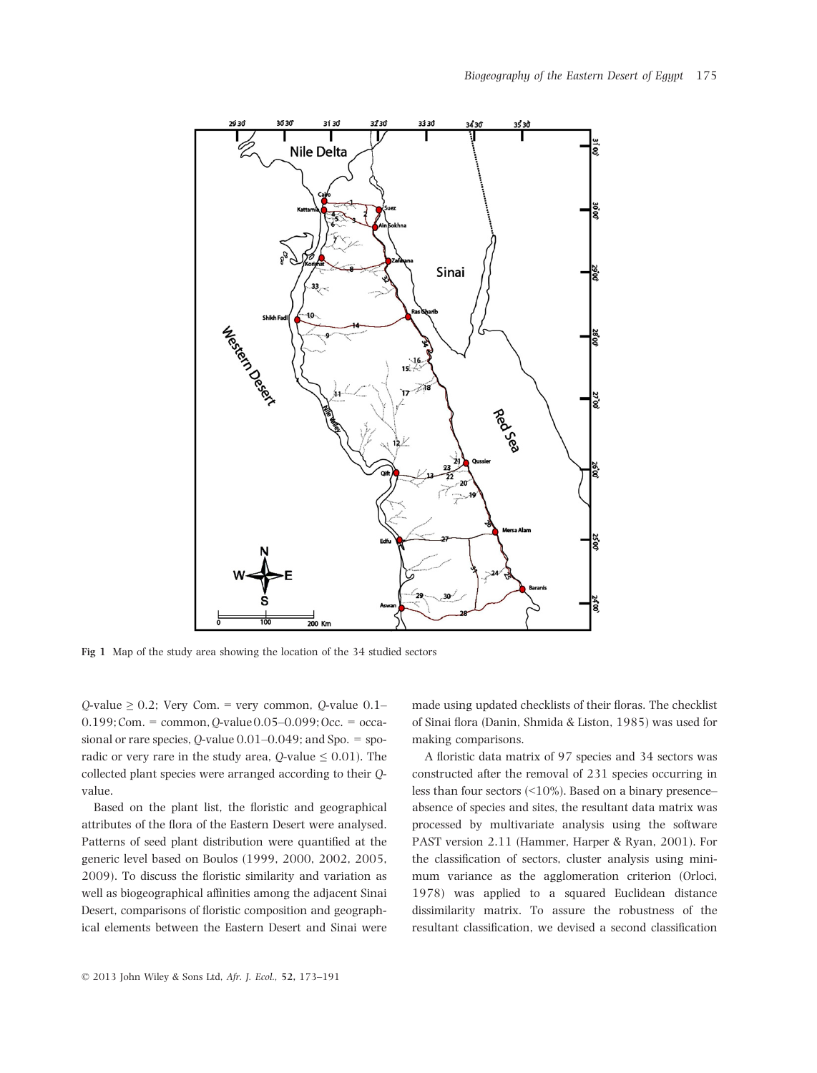

Fig 1 Map of the study area showing the location of the 34 studied sectors

 $Q$ -value  $\geq 0.2$ ; Very Com. = very common,  $Q$ -value 0.1–  $0.199$ ; Com. = common,  $Q$ -value  $0.05-0.099$ ; Occ. = occasional or rare species,  $Q$ -value  $0.01-0.049$ ; and Spo. = sporadic or very rare in the study area,  $Q$ -value  $\leq 0.01$ ). The collected plant species were arranged according to their Qvalue.

Based on the plant list, the floristic and geographical attributes of the flora of the Eastern Desert were analysed. Patterns of seed plant distribution were quantified at the generic level based on Boulos (1999, 2000, 2002, 2005, 2009). To discuss the floristic similarity and variation as well as biogeographical affinities among the adjacent Sinai Desert, comparisons of floristic composition and geographical elements between the Eastern Desert and Sinai were made using updated checklists of their floras. The checklist of Sinai flora (Danin, Shmida & Liston, 1985) was used for making comparisons.

A floristic data matrix of 97 species and 34 sectors was constructed after the removal of 231 species occurring in less than four sectors (<10%). Based on a binary presence– absence of species and sites, the resultant data matrix was processed by multivariate analysis using the software PAST version 2.11 (Hammer, Harper & Ryan, 2001). For the classification of sectors, cluster analysis using minimum variance as the agglomeration criterion (Orloci, 1978) was applied to a squared Euclidean distance dissimilarity matrix. To assure the robustness of the resultant classification, we devised a second classification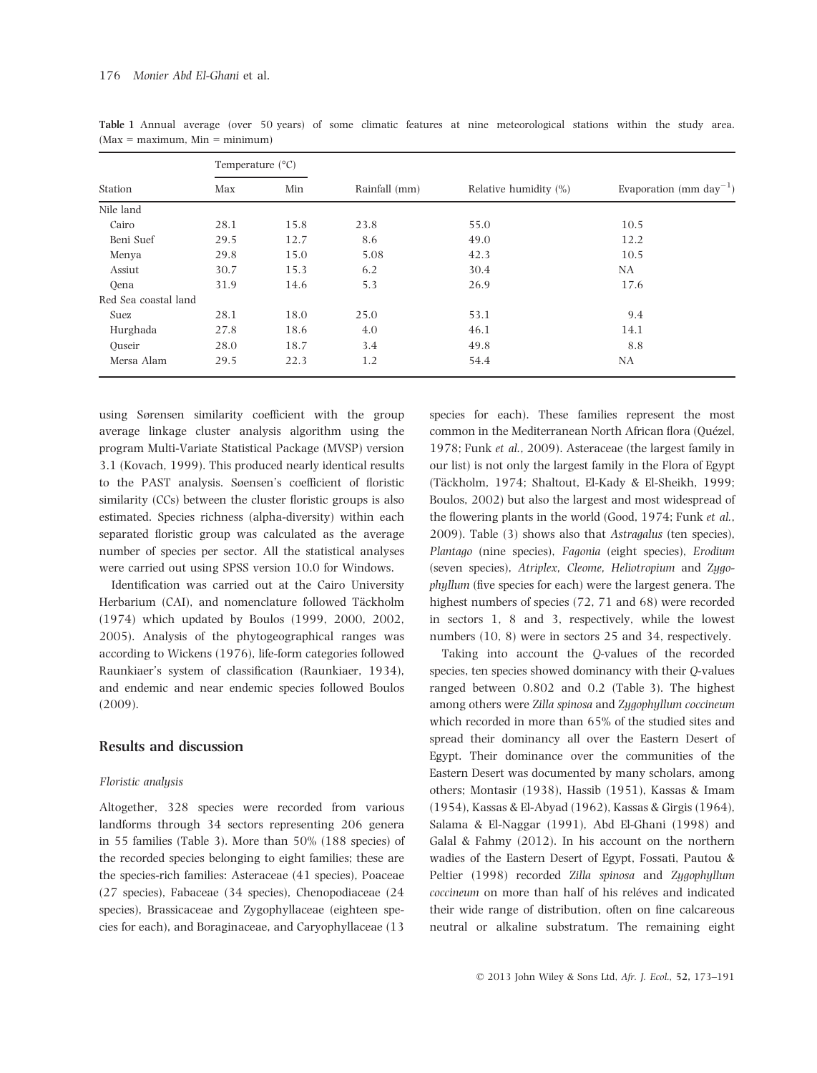|                      |      | Temperature $(^{\circ}C)$ |               |                          |                                     |  |  |  |  |  |
|----------------------|------|---------------------------|---------------|--------------------------|-------------------------------------|--|--|--|--|--|
| Station              | Max  | Min                       | Rainfall (mm) | Relative humidity $(\%)$ | Evaporation (mm day <sup>-1</sup> ) |  |  |  |  |  |
| Nile land            |      |                           |               |                          |                                     |  |  |  |  |  |
| Cairo                | 28.1 | 15.8                      | 23.8          | 55.0                     | 10.5                                |  |  |  |  |  |
| Beni Suef            | 29.5 | 12.7                      | 8.6           | 49.0                     | 12.2                                |  |  |  |  |  |
| Menya                | 29.8 | 15.0                      | 5.08          | 42.3                     | 10.5                                |  |  |  |  |  |
| Assiut               | 30.7 | 15.3                      | 6.2           | 30.4                     | NA                                  |  |  |  |  |  |
| Oena                 | 31.9 | 14.6                      | 5.3           | 26.9                     | 17.6                                |  |  |  |  |  |
| Red Sea coastal land |      |                           |               |                          |                                     |  |  |  |  |  |
| Suez                 | 28.1 | 18.0                      | 25.0          | 53.1                     | 9.4                                 |  |  |  |  |  |
| Hurghada             | 27.8 | 18.6                      | 4.0           | 46.1                     | 14.1                                |  |  |  |  |  |
| Ouseir               | 28.0 | 18.7                      | 3.4           | 49.8                     | 8.8                                 |  |  |  |  |  |
| Mersa Alam           | 29.5 | 22.3                      | 1.2           | 54.4                     | NA                                  |  |  |  |  |  |

Table 1 Annual average (over 50 years) of some climatic features at nine meteorological stations within the study area.  $(Max = maximum, Min = minimum)$ 

using Sørensen similarity coefficient with the group average linkage cluster analysis algorithm using the program Multi-Variate Statistical Package (MVSP) version 3.1 (Kovach, 1999). This produced nearly identical results to the PAST analysis. Søensen's coefficient of floristic similarity (CCs) between the cluster floristic groups is also estimated. Species richness (alpha-diversity) within each separated floristic group was calculated as the average number of species per sector. All the statistical analyses were carried out using SPSS version 10.0 for Windows.

Identification was carried out at the Cairo University Herbarium (CAI), and nomenclature followed Täckholm (1974) which updated by Boulos (1999, 2000, 2002, 2005). Analysis of the phytogeographical ranges was according to Wickens (1976), life-form categories followed Raunkiaer's system of classification (Raunkiaer, 1934), and endemic and near endemic species followed Boulos (2009).

#### Results and discussion

#### Floristic analysis

Altogether, 328 species were recorded from various landforms through 34 sectors representing 206 genera in 55 families (Table 3). More than 50% (188 species) of the recorded species belonging to eight families; these are the species-rich families: Asteraceae (41 species), Poaceae (27 species), Fabaceae (34 species), Chenopodiaceae (24 species), Brassicaceae and Zygophyllaceae (eighteen species for each), and Boraginaceae, and Caryophyllaceae (13

species for each). These families represent the most common in the Mediterranean North African flora (Quézel, 1978; Funk et al., 2009). Asteraceae (the largest family in our list) is not only the largest family in the Flora of Egypt (Täckholm, 1974; Shaltout, El-Kady & El-Sheikh, 1999; Boulos, 2002) but also the largest and most widespread of the flowering plants in the world (Good, 1974; Funk et al., 2009). Table (3) shows also that Astragalus (ten species), Plantago (nine species), Fagonia (eight species), Erodium (seven species), Atriplex, Cleome, Heliotropium and Zygophyllum (five species for each) were the largest genera. The highest numbers of species (72, 71 and 68) were recorded in sectors 1, 8 and 3, respectively, while the lowest numbers (10, 8) were in sectors 25 and 34, respectively.

Taking into account the Q-values of the recorded species, ten species showed dominancy with their Q-values ranged between 0.802 and 0.2 (Table 3). The highest among others were Zilla spinosa and Zygophyllum coccineum which recorded in more than 65% of the studied sites and spread their dominancy all over the Eastern Desert of Egypt. Their dominance over the communities of the Eastern Desert was documented by many scholars, among others; Montasir (1938), Hassib (1951), Kassas & Imam (1954), Kassas & El-Abyad (1962), Kassas & Girgis (1964), Salama & El-Naggar (1991), Abd El-Ghani (1998) and Galal & Fahmy (2012). In his account on the northern wadies of the Eastern Desert of Egypt, Fossati, Pautou & Peltier (1998) recorded Zilla spinosa and Zygophyllum coccineum on more than half of his reléves and indicated their wide range of distribution, often on fine calcareous neutral or alkaline substratum. The remaining eight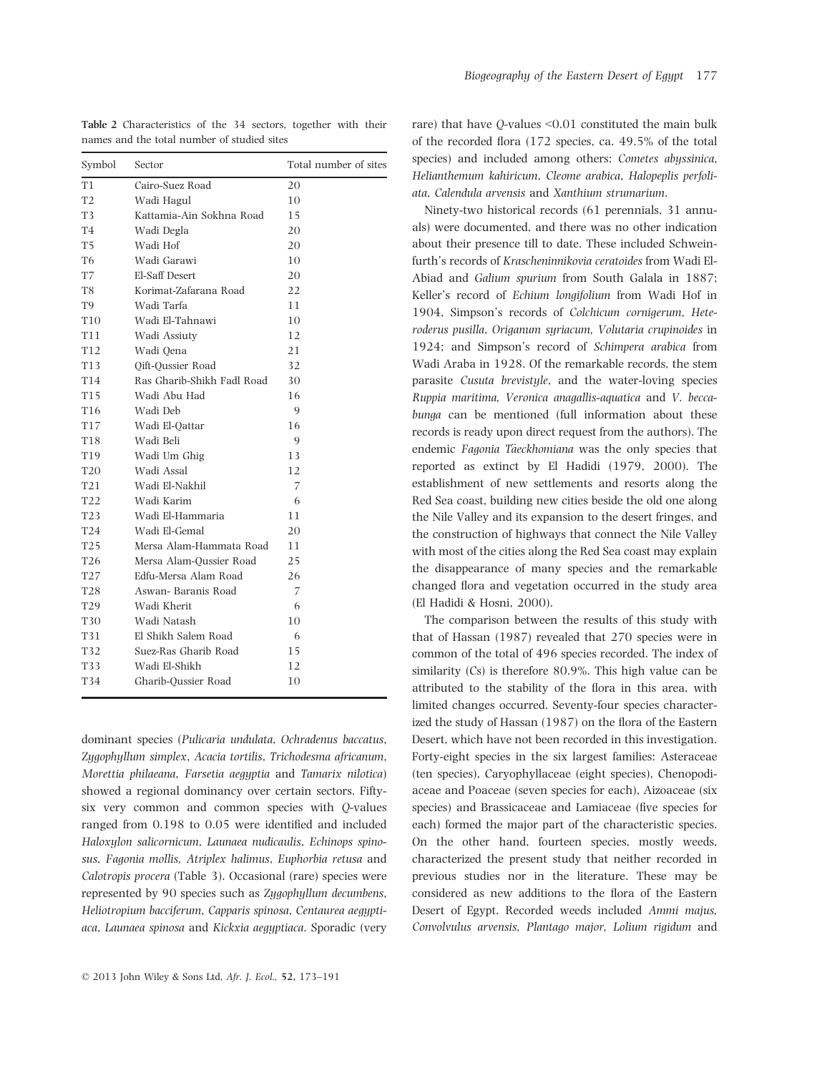| Symbol           | Sector                     | Total number of sites |
|------------------|----------------------------|-----------------------|
| T1               | Cairo-Suez Road            | 20                    |
| T <sub>2</sub>   | Wadi Hagul                 | 10                    |
| T3               | Kattamia-Ain Sokhna Road   | 15                    |
| <b>T4</b>        | Wadi Degla                 | 20                    |
| T5               | Wadi Hof                   | 20                    |
| T6               | Wadi Garawi                | 10                    |
| T7               | El-Saff Desert             | 20                    |
| T8               | Korimat-Zafarana Road      | 22                    |
| T9               | Wadi Tarfa                 | 11                    |
| T10              | Wadi El-Tahnawi            | 10                    |
| T11              | Wadi Assiuty               | 12                    |
| T12              | Wadi Oena                  | 21                    |
| T13              | <b>Qift-Qussier Road</b>   | 32                    |
| T14              | Ras Gharib-Shikh Fadl Road | 30                    |
| T15              | Wadi Abu Had               | 16                    |
| T16              | Wadi Deb                   | 9                     |
| T17              | Wadi El-Oattar             | 16                    |
| T18              | Wadi Beli                  | 9                     |
| T19              | Wadi Um Ghig               | 13                    |
| <b>T20</b>       | Wadi Assal                 | 12                    |
| T <sub>2</sub> 1 | Wadi El-Nakhil             | 7                     |
| <b>T22</b>       | Wadi Karim                 | 6                     |
| T23              | Wadi El-Hammaria           | 11                    |
| T24              | Wadi El-Gemal              | 20                    |
| T25              | Mersa Alam-Hammata Road    | 11                    |
| T <sub>26</sub>  | Mersa Alam-Oussier Road    | 25                    |
| <b>T27</b>       | Edfu-Mersa Alam Road       | 26                    |
| <b>T28</b>       | Aswan- Baranis Road        | 7                     |
| T29              | Wadi Kherit                | 6                     |
| T30              | Wadi Natash                | 10                    |
| T31              | El Shikh Salem Road        | 6                     |
| T32              | Suez-Ras Gharib Road       | 15                    |
| T33              | Wadi El-Shikh              | 12                    |
| T34              | Gharib-Oussier Road        | 10                    |
|                  |                            |                       |

Table 2 Characteristics of the 34 sectors, together with their names and the total number of studied sites

dominant species (Pulicaria undulata, Ochradenus baccatus, Zygophyllum simplex, Acacia tortilis, Trichodesma africanum, Morettia philaeana, Farsetia aegyptia and Tamarix nilotica) showed a regional dominancy over certain sectors. Fiftysix very common and common species with Q-values ranged from 0.198 to 0.05 were identified and included Haloxylon salicornicum, Launaea nudicaulis, Echinops spinosus, Fagonia mollis, Atriplex halimus, Euphorbia retusa and Calotropis procera (Table 3). Occasional (rare) species were represented by 90 species such as Zygophyllum decumbens, Heliotropium bacciferum, Capparis spinosa, Centaurea aegyptiaca, Launaea spinosa and Kickxia aegyptiaca. Sporadic (very

rare) that have Q-values <0.01 constituted the main bulk of the recorded flora (172 species, ca. 49.5% of the total species) and included among others; Cometes abyssinica, Helianthemum kahiricum, Cleome arabica, Halopeplis perfoliata, Calendula arvensis and Xanthium strumarium.

Ninety-two historical records (61 perennials, 31 annuals) were documented, and there was no other indication about their presence till to date. These included Schweinfurth's records of Krascheninnikovia ceratoides from Wadi El-Abiad and Galium spurium from South Galala in 1887; Keller's record of Echium longifolium from Wadi Hof in 1904, Simpson's records of Colchicum cornigerum, Heteroderus pusilla, Origanum syriacum, Volutaria crupinoides in 1924; and Simpson's record of Schimpera arabica from Wadi Araba in 1928. Of the remarkable records, the stem parasite Cusuta brevistyle, and the water-loving species Ruppia maritima, Veronica anagallis-aquatica and V. beccabunga can be mentioned (full information about these records is ready upon direct request from the authors). The endemic Fagonia Täeckhomiana was the only species that reported as extinct by El Hadidi (1979, 2000). The establishment of new settlements and resorts along the Red Sea coast, building new cities beside the old one along the Nile Valley and its expansion to the desert fringes, and the construction of highways that connect the Nile Valley with most of the cities along the Red Sea coast may explain the disappearance of many species and the remarkable changed flora and vegetation occurred in the study area (El Hadidi & Hosni, 2000).

The comparison between the results of this study with that of Hassan (1987) revealed that 270 species were in common of the total of 496 species recorded. The index of similarity (Cs) is therefore 80.9%. This high value can be attributed to the stability of the flora in this area, with limited changes occurred. Seventy-four species characterized the study of Hassan (1987) on the flora of the Eastern Desert, which have not been recorded in this investigation. Forty-eight species in the six largest families: Asteraceae (ten species), Caryophyllaceae (eight species), Chenopodiaceae and Poaceae (seven species for each), Aizoaceae (six species) and Brassicaceae and Lamiaceae (five species for each) formed the major part of the characteristic species. On the other hand, fourteen species, mostly weeds, characterized the present study that neither recorded in previous studies nor in the literature. These may be considered as new additions to the flora of the Eastern Desert of Egypt. Recorded weeds included Ammi majus, Convolvulus arvensis, Plantago major, Lolium rigidum and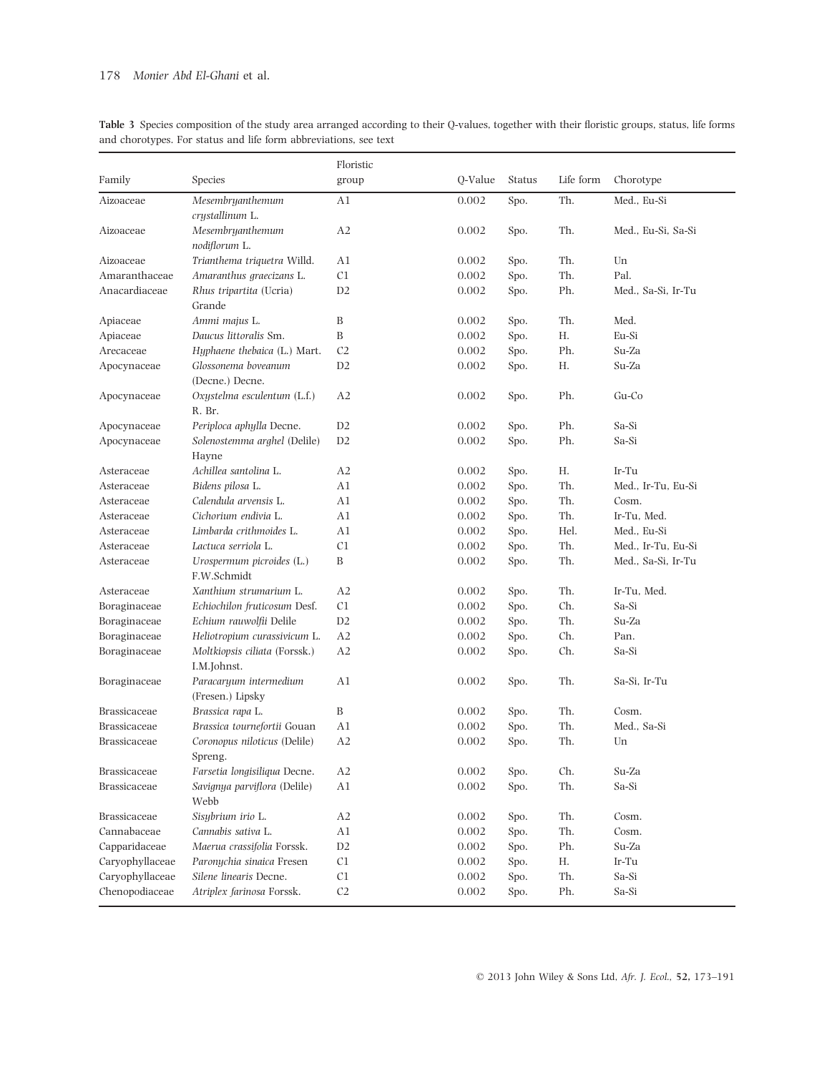|                 |                                              | Floristic      |           |               |           |                    |
|-----------------|----------------------------------------------|----------------|-----------|---------------|-----------|--------------------|
| Family          | Species                                      | group          | Q-Value   | <b>Status</b> | Life form | Chorotype          |
| Aizoaceae       | Mesembryanthemum<br>crystallinum L.          | A1             | 0.002     | Spo.          | Th.       | Med., Eu-Si        |
| Aizoaceae       | Mesembryanthemum<br>nodiflorum L.            | A2             | 0.002     | Spo.          | Th.       | Med., Eu-Si, Sa-Si |
| Aizoaceae       | Trianthema triquetra Willd.                  | A1             | 0.002     | Spo.          | Th.       | Un                 |
| Amaranthaceae   | Amaranthus graecizans L.                     | C1             | 0.002     | Spo.          | Th.       | Pal.               |
| Anacardiaceae   | Rhus tripartita (Ucria)<br>Grande            | D2             | 0.002     | Spo.          | Ph.       | Med., Sa-Si, Ir-Tu |
| Apiaceae        | Ammi majus L.                                | B              | 0.002     | Spo.          | Th.       | Med.               |
| Apiaceae        | Daucus littoralis Sm.                        | B              | 0.002     | Spo.          | Н.        | Eu-Si              |
| Arecaceae       | Hyphaene thebaica (L.) Mart.                 | C <sub>2</sub> | 0.002     | Spo.          | Ph.       | Su-Za              |
| Apocynaceae     | Glossonema boveanum<br>(Decne.) Decne.       | D2             | 0.002     | Spo.          | Н.        | Su-Za              |
| Apocynaceae     | Oxystelma esculentum (L.f.)<br>R. Br.        | A2             | 0.002     | Spo.          | Ph.       | Gu-Co              |
| Apocynaceae     | Periploca aphylla Decne.                     | D2             | 0.002     | Spo.          | Ph.       | Sa-Si              |
| Apocynaceae     | Solenostemma arghel (Delile)<br>Hayne        | D2             | 0.002     | Spo.          | Ph.       | Sa-Si              |
| Asteraceae      | Achillea santolina L.                        | A <sub>2</sub> | 0.002     | Spo.          | Н.        | Ir-Tu              |
| Asteraceae      | Bidens pilosa L.                             | A1             | 0.002     | Spo.          | Th.       | Med., Ir-Tu, Eu-Si |
| Asteraceae      | Calendula arvensis L.                        | A1             | 0.002     | Spo.          | Th.       | Cosm.              |
| Asteraceae      | Cichorium endivia L.                         | A1             | 0.002     | Spo.          | Th.       | Ir-Tu, Med.        |
| Asteraceae      | Limbarda crithmoides L.                      | A1             | 0.002     | Spo.          | Hel.      | Med., Eu-Si        |
| Asteraceae      | Lactuca serriola L.                          | C1             | 0.002     | Spo.          | Th.       | Med., Ir-Tu, Eu-Si |
| Asteraceae      | Urospermum picroides (L.)<br>F.W.Schmidt     | B              | 0.002     | Spo.          | Th.       | Med., Sa-Si, Ir-Tu |
| Asteraceae      | Xanthium strumarium L.                       | A2             | 0.002     | Spo.          | Th.       | Ir-Tu, Med.        |
| Boraginaceae    | Echiochilon fruticosum Desf.                 | C <sub>1</sub> | 0.002     | Spo.          | Ch.       | Sa-Si              |
| Boraginaceae    | Echium rauwolfii Delile                      | D2             | 0.002     | Spo.          | Th.       | Su-Za              |
| Boraginaceae    | Heliotropium curassivicum L.                 | A2             | 0.002     | Spo.          | Ch.       | Pan.               |
| Boraginaceae    | Moltkiopsis ciliata (Forssk.)<br>I.M.Johnst. | A2             | 0.002     | Spo.          | Ch.       | Sa-Si              |
| Boraginaceae    | Paracaryum intermedium<br>(Fresen.) Lipsky   | A1             | 0.002     | Spo.          | Th.       | Sa-Si, Ir-Tu       |
| Brassicaceae    | Brassica rapa L.                             | B              | 0.002     | Spo.          | Th.       | Cosm.              |
| Brassicaceae    | Brassica tournefortii Gouan                  | A1             | 0.002     | Spo.          | Th.       | Med., Sa-Si        |
| Brassicaceae    | Coronopus niloticus (Delile)<br>Spreng.      | A2             | 0.002     | Spo.          | Th.       | Un                 |
| Brassicaceae    | Farsetia longisiliqua Decne.                 | A2             | $0.002\,$ | Spo.          | Ch.       | Su-Za              |
| Brassicaceae    | Savignya parviflora (Delile)<br>Webb         | A1             | 0.002     | Spo.          | Th.       | Sa-Si              |
| Brassicaceae    | Sisybrium irio L.                            | A2             | 0.002     | Spo.          | Th.       | Cosm.              |
| Cannabaceae     | Cannabis sativa L.                           | A1             | 0.002     | Spo.          | Th.       | Cosm.              |
| Capparidaceae   | Maerua crassifolia Forssk.                   | D2             | 0.002     | Spo.          | Ph.       | Su-Za              |
| Caryophyllaceae | Paronychia sinaica Fresen                    | C1             | 0.002     | Spo.          | Η.        | Ir-Tu              |
| Caryophyllaceae | Silene linearis Decne.                       | C1             | 0.002     | Spo.          | Th.       | Sa-Si              |
| Chenopodiaceae  | Atriplex farinosa Forssk.                    | $\mathbb{C}2$  | 0.002     | Spo.          | Ph.       | Sa-Si              |

Table 3 Species composition of the study area arranged according to their Q-values, together with their floristic groups, status, life forms and chorotypes. For status and life form abbreviations, see text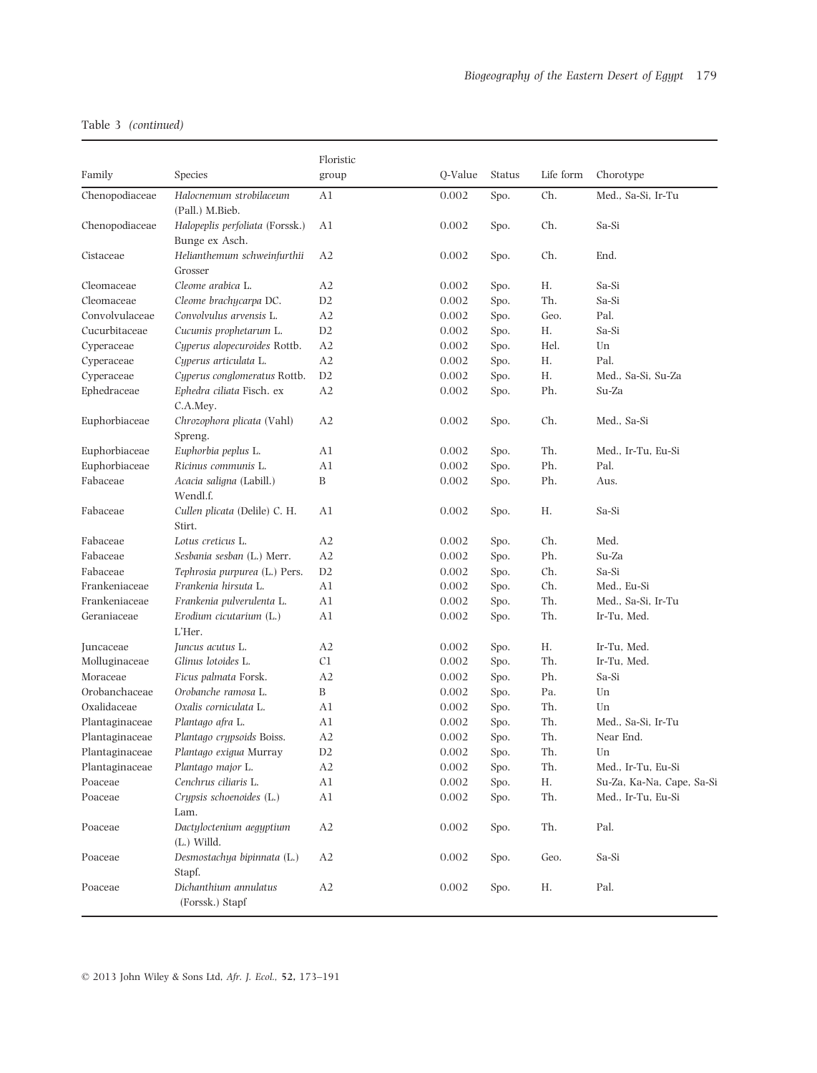|                |                                                   | Floristic      |         |        |           |                           |
|----------------|---------------------------------------------------|----------------|---------|--------|-----------|---------------------------|
| Family         | Species                                           | group          | Q-Value | Status | Life form | Chorotype                 |
| Chenopodiaceae | Halocnemum strobilaceum<br>(Pall.) M.Bieb.        | A1             | 0.002   | Spo.   | Ch.       | Med., Sa-Si, Ir-Tu        |
| Chenopodiaceae | Halopeplis perfoliata (Forssk.)<br>Bunge ex Asch. | A1             | 0.002   | Spo.   | Ch.       | Sa-Si                     |
| Cistaceae      | Helianthemum schweinfurthii<br>Grosser            | A2             | 0.002   | Spo.   | Ch.       | End.                      |
| Cleomaceae     | Cleome arabica L.                                 | A2             | 0.002   | Spo.   | Η.        | Sa-Si                     |
| Cleomaceae     | Cleome brachycarpa DC.                            | D <sub>2</sub> | 0.002   | Spo.   | Th.       | Sa-Si                     |
| Convolvulaceae | Convolvulus arvensis L.                           | A2             | 0.002   | Spo.   | Geo.      | Pal.                      |
| Cucurbitaceae  | Cucumis prophetarum L.                            | D <sub>2</sub> | 0.002   | Spo.   | Η.        | Sa-Si                     |
| Cyperaceae     | Cyperus alopecuroides Rottb.                      | A <sub>2</sub> | 0.002   | Spo.   | Hel.      | Un                        |
| Cyperaceae     | Cyperus articulata L.                             | A2             | 0.002   | Spo.   | Η.        | Pal.                      |
| Cyperaceae     | Cyperus conglomeratus Rottb.                      | D2             | 0.002   | Spo.   | Н.        | Med., Sa-Si, Su-Za        |
| Ephedraceae    | Ephedra ciliata Fisch. ex<br>C.A.Mey.             | A2             | 0.002   | Spo.   | Ph.       | Su-Za                     |
| Euphorbiaceae  | Chrozophora plicata (Vahl)<br>Spreng.             | A2             | 0.002   | Spo.   | Ch.       | Med., Sa-Si               |
| Euphorbiaceae  | Euphorbia peplus L.                               | A1             | 0.002   | Spo.   | Th.       | Med., Ir-Tu, Eu-Si        |
| Euphorbiaceae  | Ricinus communis L.                               | A1             | 0.002   | Spo.   | Ph.       | Pal.                      |
| Fabaceae       | Acacia saligna (Labill.)<br>Wendl.f.              | B              | 0.002   | Spo.   | Ph.       | Aus.                      |
| Fabaceae       | Cullen plicata (Delile) C. H.<br>Stirt.           | A1             | 0.002   | Spo.   | Η.        | Sa-Si                     |
| Fabaceae       | Lotus creticus L.                                 | A <sub>2</sub> | 0.002   | Spo.   | Ch.       | Med.                      |
| Fabaceae       | Sesbania sesban (L.) Merr.                        | A2             | 0.002   | Spo.   | Ph.       | Su-Za                     |
| Fabaceae       | Tephrosia purpurea (L.) Pers.                     | D2             | 0.002   | Spo.   | Ch.       | Sa-Si                     |
| Frankeniaceae  | Frankenia hirsuta L.                              | A1             | 0.002   | Spo.   | Ch.       | Med., Eu-Si               |
| Frankeniaceae  | Frankenia pulverulenta L.                         | A1             | 0.002   | Spo.   | Th.       | Med., Sa-Si, Ir-Tu        |
| Geraniaceae    | Erodium cicutarium (L.)<br>L'Her.                 | A1             | 0.002   | Spo.   | Th.       | Ir-Tu, Med.               |
| Juncaceae      | Juncus acutus L.                                  | A2             | 0.002   | Spo.   | Н.        | Ir-Tu, Med.               |
| Molluginaceae  | Glinus lotoides L.                                | C1             | 0.002   | Spo.   | Th.       | Ir-Tu, Med.               |
| Moraceae       | Ficus palmata Forsk.                              | A2             | 0.002   | Spo.   | Ph.       | Sa-Si                     |
| Orobanchaceae  | Orobanche ramosa L.                               | B              | 0.002   | Spo.   | Pa.       | Un                        |
| Oxalidaceae    | Oxalis corniculata L.                             | A1             | 0.002   | Spo.   | Th.       | Un                        |
| Plantaginaceae | Plantago afra L.                                  | A1             | 0.002   | Spo.   | Th.       | Med., Sa-Si, Ir-Tu        |
| Plantaginaceae | Plantago crypsoids Boiss.                         | A2             | 0.002   | Spo.   | Th.       | Near End.                 |
| Plantaginaceae | Plantago exigua Murray                            | D2             | 0.002   | Spo.   | Th.       | Un                        |
| Plantaginaceae | Plantago major L.                                 | A2             | 0.002   | Spo.   | Th.       | Med., Ir-Tu, Eu-Si        |
| Poaceae        | Cenchrus ciliaris L.                              | A1             | 0.002   | Spo.   | Н.        | Su-Za, Ka-Na, Cape, Sa-Si |
| Poaceae        | Crypsis schoenoides (L.)<br>Lam.                  | A1             | 0.002   | Spo.   | Th.       | Med., Ir-Tu, Eu-Si        |
| Poaceae        | Dactyloctenium aegyptium<br>$(L.)$ Willd.         | A2             | 0.002   | Spo.   | Th.       | Pal.                      |
| Poaceae        | Desmostachya bipinnata (L.)<br>Stapf.             | A2             | 0.002   | Spo.   | Geo.      | Sa-Si                     |
| Poaceae        | Dichanthium annulatus<br>(Forssk.) Stapf          | A2             | 0.002   | Spo.   | Н.        | Pal.                      |

© 2013 John Wiley & Sons Ltd, Afr. J. Ecol., 52, 173–191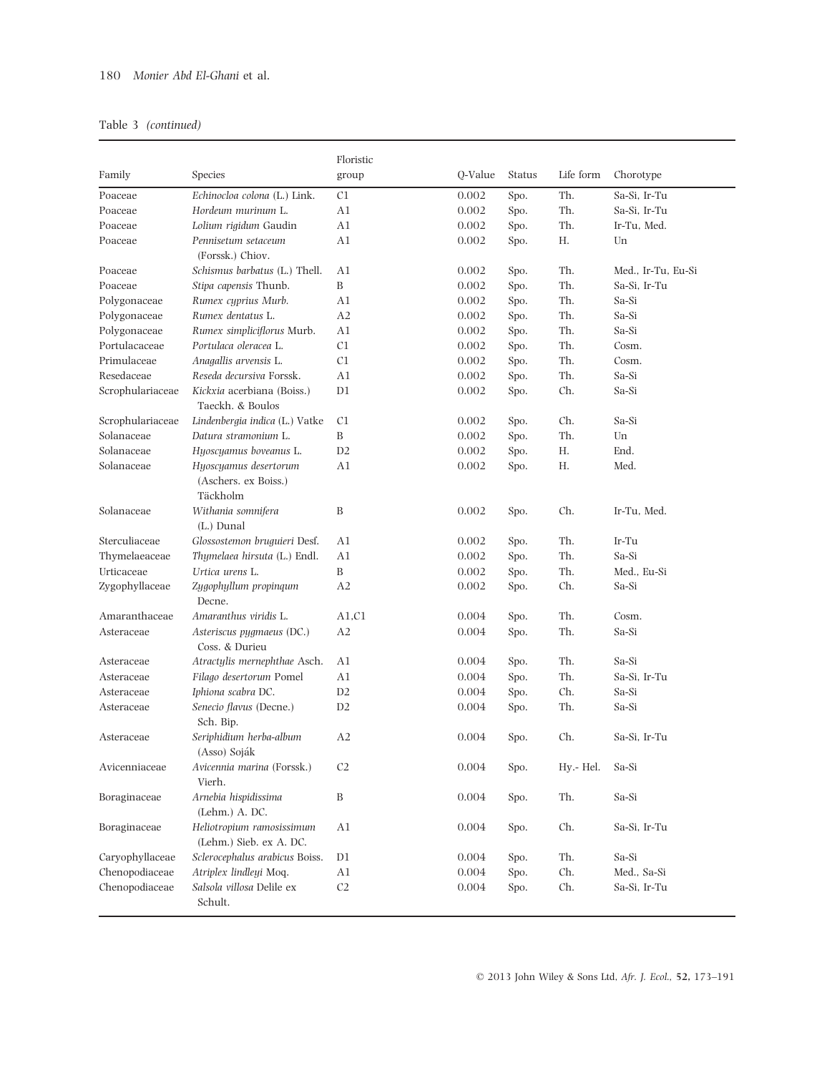|                  |                                                      | Floristic        |         |               |           |                    |
|------------------|------------------------------------------------------|------------------|---------|---------------|-----------|--------------------|
| Family           | Species                                              | group            | Q-Value | <b>Status</b> | Life form | Chorotype          |
| Poaceae          | Echinocloa colona (L.) Link.                         | C1               | 0.002   | Spo.          | Th.       | Sa-Si, Ir-Tu       |
| Poaceae          | Hordeum murinum L.                                   | A1               | 0.002   | Spo.          | Th.       | Sa-Si, Ir-Tu       |
| Poaceae          | Lolium rigidum Gaudin                                | A1               | 0.002   | Spo.          | Th.       | Ir-Tu, Med.        |
| Poaceae          | Pennisetum setaceum                                  | A1               | 0.002   | Spo.          | Н.        | Un                 |
|                  | (Forssk.) Chiov.                                     |                  |         |               |           |                    |
| Poaceae          | Schismus barbatus (L.) Thell.                        | A1               | 0.002   | Spo.          | Th.       | Med., Ir-Tu, Eu-Si |
| Poaceae          | Stipa capensis Thunb.                                | B                | 0.002   | Spo.          | Th.       | Sa-Si. Ir-Tu       |
| Polygonaceae     | Rumex cyprius Murb.                                  | A1               | 0.002   | Spo.          | Th.       | Sa-Si              |
| Polygonaceae     | Rumex dentatus L.                                    | A2               | 0.002   | Spo.          | Th.       | Sa-Si              |
| Polygonaceae     | Rumex simpliciflorus Murb.                           | A1               | 0.002   | Spo.          | Th.       | Sa-Si              |
| Portulacaceae    | Portulaca oleracea L.                                | C1               | 0.002   | Spo.          | Th.       | Cosm.              |
| Primulaceae      | Anagallis arvensis L.                                | C1               | 0.002   | Spo.          | Th.       | Cosm.              |
| Resedaceae       | Reseda decursiva Forssk.                             | A1               | 0.002   | Spo.          | Th.       | Sa-Si              |
| Scrophulariaceae | Kickxia acerbiana (Boiss.)                           | D1               | 0.002   | Spo.          | Ch.       | Sa-Si              |
|                  | Taeckh. & Boulos                                     |                  |         |               |           |                    |
| Scrophulariaceae | Lindenbergia indica (L.) Vatke                       | C1               | 0.002   | Spo.          | Ch.       | Sa-Si              |
| Solanaceae       | Datura stramonium L.                                 | B                | 0.002   | Spo.          | Th.       | Un                 |
| Solanaceae       | Hyoscyamus boveanus L.                               | D2               | 0.002   | Spo.          | Η.        | End.               |
| Solanaceae       | Hyoscyamus desertorum                                | A1               | 0.002   | Spo.          | Н.        | Med.               |
|                  | (Aschers. ex Boiss.)<br>Täckholm                     |                  |         |               |           |                    |
| Solanaceae       | Withania somnifera<br>$(L.)$ Dunal                   | $\boldsymbol{B}$ | 0.002   | Spo.          | Ch.       | Ir-Tu, Med.        |
| Sterculiaceae    | Glossostemon bruguieri Desf.                         | A1               | 0.002   | Spo.          | Th.       | Ir-Tu              |
| Thymelaeaceae    | Thymelaea hirsuta (L.) Endl.                         | A1               | 0.002   | Spo.          | Th.       | Sa-Si              |
| Urticaceae       | Urtica urens L.                                      | B                | 0.002   | Spo.          | Th.       | Med., Eu-Si        |
| Zygophyllaceae   | Zygophyllum propinqum<br>Decne.                      | A <sub>2</sub>   | 0.002   | Spo.          | Ch.       | Sa-Si              |
| Amaranthaceae    | Amaranthus viridis L.                                | A1.C1            | 0.004   | Spo.          | Th.       | Cosm.              |
| Asteraceae       | Asteriscus pygmaeus (DC.)<br>Coss. & Durieu          | A2               | 0.004   | Spo.          | Th.       | Sa-Si              |
| Asteraceae       | Atractylis mernephthae Asch.                         | A1               | 0.004   | Spo.          | Th.       | Sa-Si              |
| Asteraceae       | Filago desertorum Pomel                              | A1               | 0.004   | Spo.          | Th.       | Sa-Si, Ir-Tu       |
| Asteraceae       | Iphiona scabra DC.                                   | D2               | 0.004   | Spo.          | Ch.       | Sa-Si              |
| Asteraceae       | Senecio flavus (Decne.)                              | D <sub>2</sub>   | 0.004   | Spo.          | Th.       | Sa-Si              |
| Asteraceae       | Sch. Bip.<br>Seriphidium herba-album                 | A2               | 0.004   | Spo.          | Ch.       | Sa-Si, Ir-Tu       |
|                  | (Asso) Soják                                         |                  |         |               |           |                    |
| Avicenniaceae    | Avicennia marina (Forssk.)<br>Vierh.                 | C <sub>2</sub>   | 0.004   | Spo.          | Hy.- Hel. | Sa-Si              |
| Boraginaceae     | Arnebia hispidissima<br>(Lehm.) A. DC.               | $\, {\bf B}$     | 0.004   | Spo.          | Th.       | Sa-Si              |
| Boraginaceae     | Heliotropium ramosissimum<br>(Lehm.) Sieb. ex A. DC. | A1               | 0.004   | Spo.          | Ch.       | Sa-Si, Ir-Tu       |
| Caryophyllaceae  | Sclerocephalus arabicus Boiss.                       | D <sub>1</sub>   | 0.004   | Spo.          | Th.       | Sa-Si              |
| Chenopodiaceae   | Atriplex lindleyi Moq.                               | A1               | 0.004   | Spo.          | Ch.       | Med., Sa-Si        |
| Chenopodiaceae   | Salsola villosa Delile ex                            | C2               | 0.004   | Spo.          | Ch.       | Sa-Si, Ir-Tu       |
|                  | Schult.                                              |                  |         |               |           |                    |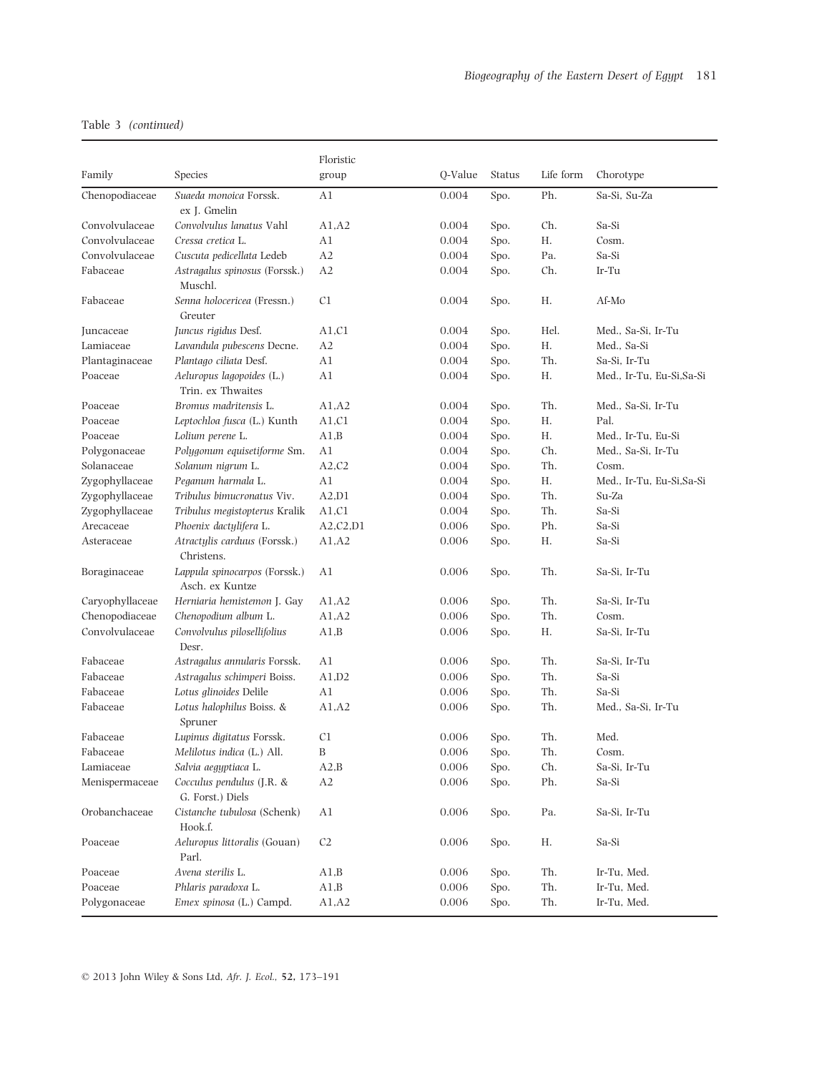|                 |                                                  | Floristic      |         |               |           |                           |
|-----------------|--------------------------------------------------|----------------|---------|---------------|-----------|---------------------------|
| Family          | Species                                          | group          | Q-Value | <b>Status</b> | Life form | Chorotype                 |
| Chenopodiaceae  | Suaeda monoica Forssk.                           | A1             | 0.004   | Spo.          | Ph.       | Sa-Si, Su-Za              |
|                 | ex J. Gmelin                                     |                |         |               |           |                           |
| Convolvulaceae  | Convolvulus lanatus Vahl                         | A1.A2          | 0.004   | Spo.          | Ch.       | Sa-Si                     |
| Convolvulaceae  | Cressa cretica L.                                | A1             | 0.004   | Spo.          | Η.        | Cosm.                     |
| Convolvulaceae  | Cuscuta pedicellata Ledeb                        | A2             | 0.004   | Spo.          | Pa.       | Sa-Si                     |
| Fabaceae        | Astragalus spinosus (Forssk.)<br>Muschl.         | A2             | 0.004   | Spo.          | Ch.       | Ir-Tu                     |
| Fabaceae        | Senna holocericea (Fressn.)<br>Greuter           | C <sub>1</sub> | 0.004   | Spo.          | Н.        | Af-Mo                     |
| Juncaceae       | Juncus rigidus Desf.                             | A1.C1          | 0.004   | Spo.          | Hel.      | Med., Sa-Si, Ir-Tu        |
| Lamiaceae       | Lavandula pubescens Decne.                       | A2             | 0.004   | Spo.          | Η.        | Med., Sa-Si               |
| Plantaginaceae  | Plantago ciliata Desf.                           | A1             | 0.004   | Spo.          | Th.       | Sa-Si, Ir-Tu              |
| Poaceae         | Aeluropus lagopoides (L.)<br>Trin. ex Thwaites   | A1             | 0.004   | Spo.          | Н.        | Med., Ir-Tu, Eu-Si,Sa-Si  |
| Poaceae         | Bromus madritensis L.                            | A1, A2         | 0.004   | Spo.          | Th.       | Med., Sa-Si, Ir-Tu        |
| Poaceae         | Leptochloa fusca (L.) Kunth                      | A1,C1          | 0.004   | Spo.          | Η.        | Pal.                      |
| Poaceae         | Lolium perene L.                                 | A1,B           | 0.004   | Spo.          | Η.        | Med., Ir-Tu, Eu-Si        |
| Polygonaceae    | Polygonum equisetiforme Sm.                      | A1             | 0.004   | Spo.          | Ch.       | Med., Sa-Si, Ir-Tu        |
| Solanaceae      | Solanum nigrum L.                                | A2,C2          | 0.004   | Spo.          | Th.       | Cosm.                     |
| Zygophyllaceae  | Peganum harmala L.                               | A1             | 0.004   | Spo.          | Η.        | Med., Ir-Tu, Eu-Si, Sa-Si |
| Zygophyllaceae  | Tribulus bimucronatus Viv.                       | A2.D1          | 0.004   | Spo.          | Th.       | Su-Za                     |
| Zygophyllaceae  | Tribulus megistopterus Kralik                    | A1,C1          | 0.004   | Spo.          | Th.       | Sa-Si                     |
| Arecaceae       | Phoenix dactylifera L.                           | A2, C2, D1     | 0.006   | Spo.          | Ph.       | Sa-Si                     |
| Asteraceae      | Atractylis carduus (Forssk.)<br>Christens.       | A1.A2          | 0.006   | Spo.          | Η.        | Sa-Si                     |
| Boraginaceae    | Lappula spinocarpos (Forssk.)<br>Asch. ex Kuntze | A1             | 0.006   | Spo.          | Th.       | Sa-Si, Ir-Tu              |
| Caryophyllaceae | Herniaria hemistemon J. Gay                      | A1, A2         | 0.006   | Spo.          | Th.       | Sa-Si, Ir-Tu              |
| Chenopodiaceae  | Chenopodium album L.                             | A1, A2         | 0.006   | Spo.          | Th.       | Cosm.                     |
| Convolvulaceae  | Convolvulus pilosellifolius<br>Desr.             | A1.B           | 0.006   | Spo.          | Η.        | Sa-Si, Ir-Tu              |
| Fabaceae        | Astragalus annularis Forssk.                     | A1             | 0.006   | Spo.          | Th.       | Sa-Si, Ir-Tu              |
| Fabaceae        | Astragalus schimperi Boiss.                      | A1,D2          | 0.006   | Spo.          | Th.       | Sa-Si                     |
| Fabaceae        | Lotus glinoides Delile                           | A1             | 0.006   | Spo.          | Th.       | Sa-Si                     |
| Fabaceae        | Lotus halophilus Boiss. &<br>Spruner             | A1, A2         | 0.006   | Spo.          | Th.       | Med., Sa-Si, Ir-Tu        |
| Fabaceae        | Lupinus digitatus Forssk.                        | C <sub>1</sub> | 0.006   | Spo.          | Th.       | Med.                      |
| Fabaceae        | Melilotus indica (L.) All.                       | B              | 0.006   | Spo.          | Th.       | Cosm.                     |
| Lamiaceae       | Salvia aegyptiaca L.                             | A2,B           | 0.006   | Spo.          | Ch.       | Sa-Si, Ir-Tu              |
| Menispermaceae  | Cocculus pendulus (J.R. &<br>G. Forst.) Diels    | A2             | 0.006   | Spo.          | Ph.       | Sa-Si                     |
| Orobanchaceae   | Cistanche tubulosa (Schenk)<br>Hook.f.           | A <sub>1</sub> | 0.006   | Spo.          | Pa.       | Sa-Si, Ir-Tu              |
| Poaceae         | Aeluropus littoralis (Gouan)<br>Parl.            | C <sub>2</sub> | 0.006   | Spo.          | Н.        | Sa-Si                     |
| Poaceae         | Avena sterilis L.                                | A1,B           | 0.006   | Spo.          | Th.       | Ir-Tu, Med.               |
| Poaceae         | Phlaris paradoxa L.                              | A1,B           | 0.006   | Spo.          | Th.       | Ir-Tu, Med.               |
| Polygonaceae    | Emex spinosa (L.) Campd.                         | A1, A2         | 0.006   | Spo.          | Th.       | Ir-Tu, Med.               |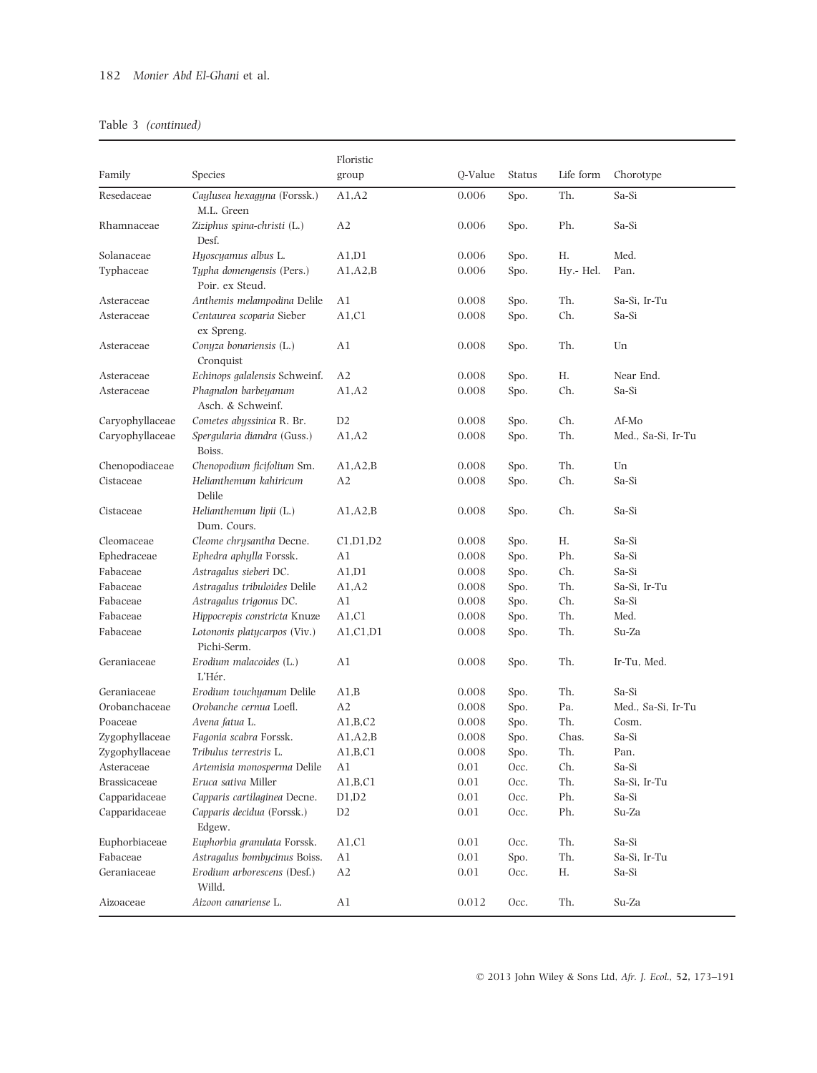|                 |                                              | Floristic      |          |               |           |                    |
|-----------------|----------------------------------------------|----------------|----------|---------------|-----------|--------------------|
| Family          | Species                                      | group          | Q-Value  | <b>Status</b> | Life form | Chorotype          |
| Resedaceae      | Caylusea hexagyna (Forssk.)<br>M.L. Green    | A1, A2         | 0.006    | Spo.          | Th.       | Sa-Si              |
| Rhamnaceae      | Ziziphus spina-christi (L.)<br>Desf.         | A <sub>2</sub> | 0.006    | Spo.          | Ph.       | Sa-Si              |
| Solanaceae      | Hyoscyamus albus L.                          | A1,D1          | 0.006    | Spo.          | Н.        | Med.               |
| Typhaceae       | Typha domengensis (Pers.)<br>Poir. ex Steud. | A1, A2, B      | 0.006    | Spo.          | Hy.- Hel. | Pan.               |
| Asteraceae      | Anthemis melampodina Delile                  | A1             | 0.008    | Spo.          | Th.       | Sa-Si, Ir-Tu       |
| Asteraceae      | Centaurea scoparia Sieber<br>ex Spreng.      | A1, C1         | 0.008    | Spo.          | Ch.       | Sa-Si              |
| Asteraceae      | Conyza bonariensis (L.)<br>Cronquist         | A1             | 0.008    | Spo.          | Th.       | Un                 |
| Asteraceae      | Echinops galalensis Schweinf.                | A2             | 0.008    | Spo.          | Н.        | Near End.          |
| Asteraceae      | Phagnalon barbeyanum<br>Asch. & Schweinf.    | A1, A2         | 0.008    | Spo.          | Ch.       | Sa-Si              |
| Caryophyllaceae | Cometes abyssinica R. Br.                    | D <sub>2</sub> | 0.008    | Spo.          | Ch.       | Af-Mo              |
| Caryophyllaceae | Spergularia diandra (Guss.)<br>Boiss.        | A1.A2          | 0.008    | Spo.          | Th.       | Med., Sa-Si, Ir-Tu |
| Chenopodiaceae  | Chenopodium ficifolium Sm.                   | A1, A2, B      | 0.008    | Spo.          | Th.       | Un                 |
| Cistaceae       | Helianthemum kahiricum<br>Delile             | A2             | 0.008    | Spo.          | Ch.       | Sa-Si              |
| Cistaceae       | Helianthemum lipii (L.)<br>Dum. Cours.       | A1, A2, B      | 0.008    | Spo.          | Ch.       | Sa-Si              |
| Cleomaceae      | Cleome chrysantha Decne.                     | C1.D1.D2       | 0.008    | Spo.          | Н.        | Sa-Si              |
| Ephedraceae     | Ephedra aphylla Forssk.                      | A1             | 0.008    | Spo.          | Ph.       | Sa-Si              |
| Fabaceae        | Astragalus sieberi DC.                       | A1.D1          | 0.008    | Spo.          | Ch.       | Sa-Si              |
| Fabaceae        | Astragalus tribuloides Delile                | A1, A2         | 0.008    | Spo.          | Th.       | Sa-Si, Ir-Tu       |
| Fabaceae        | Astragalus trigonus DC.                      | A1             | 0.008    | Spo.          | Ch.       | Sa-Si              |
| Fabaceae        | Hippocrepis constricta Knuze                 | A1, C1         | 0.008    | Spo.          | Th.       | Med.               |
| Fabaceae        | Lotononis platycarpos (Viv.)<br>Pichi-Serm.  | A1, C1, D1     | 0.008    | Spo.          | Th.       | Su-Za              |
| Geraniaceae     | Erodium malacoides (L.)<br>L'Hér.            | A1             | 0.008    | Spo.          | Th.       | Ir-Tu, Med.        |
| Geraniaceae     | Erodium touchyanum Delile                    | A1,B           | 0.008    | Spo.          | Th.       | Sa-Si              |
| Orobanchaceae   | Orobanche cernua Loefl.                      | A2             | 0.008    | Spo.          | Pa.       | Med., Sa-Si, Ir-Tu |
| Poaceae         | Avena fatua L.                               | A1,B,C2        | 0.008    | Spo.          | Th.       | Cosm.              |
| Zygophyllaceae  | Fagonia scabra Forssk.                       | A1, A2, B      | 0.008    | Spo.          | Chas.     | Sa-Si              |
| Zygophyllaceae  | Tribulus terrestris L.                       | A1,B,C1        | 0.008    | Spo.          | Th.       | Pan.               |
| Asteraceae      | Artemisia monosperma Delile                  | A1             | $0.01\,$ | Occ.          | Ch.       | Sa-Si              |
| Brassicaceae    | Eruca sativa Miller                          | A1,B,C1        | $0.01\,$ | Occ.          | Th.       | Sa-Si, Ir-Tu       |
| Capparidaceae   | Capparis cartilaginea Decne.                 | D1,D2          | 0.01     | Occ.          | Ph.       | Sa-Si              |
| Capparidaceae   | Capparis decidua (Forssk.)<br>Edgew.         | D <sub>2</sub> | 0.01     | Occ.          | Ph.       | Su-Za              |
| Euphorbiaceae   | Euphorbia granulata Forssk.                  | A1,C1          | 0.01     | Occ.          | Th.       | Sa-Si              |
| Fabaceae        | Astragalus bombycinus Boiss.                 | A1             | 0.01     | Spo.          | Th.       | Sa-Si, Ir-Tu       |
| Geraniaceae     | Erodium arborescens (Desf.)<br>Willd.        | A2             | $0.01\,$ | Occ.          | Н.        | Sa-Si              |
| Aizoaceae       | Aizoon canariense L.                         | A1             | 0.012    | Occ.          | Th.       | Su-Za              |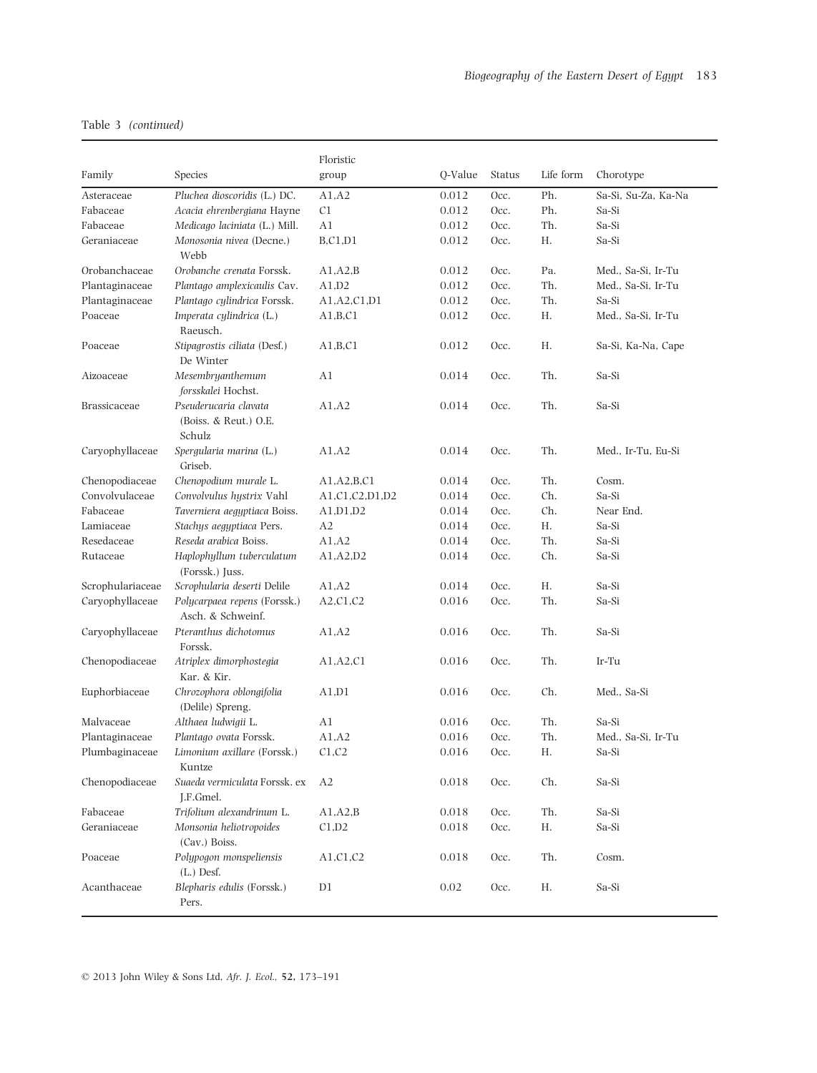| Family              | Species                                                  | Floristic      | Q-Value | Status | Life form | Chorotype           |
|---------------------|----------------------------------------------------------|----------------|---------|--------|-----------|---------------------|
|                     |                                                          | group          |         |        |           |                     |
| Asteraceae          | Pluchea dioscoridis (L.) DC.                             | A1, A2         | 0.012   | Occ.   | Ph.       | Sa-Si, Su-Za, Ka-Na |
| Fabaceae            | Acacia ehrenbergiana Hayne                               | C <sub>1</sub> | 0.012   | Occ.   | Ph.       | Sa-Si               |
| Fabaceae            | Medicago laciniata (L.) Mill.                            | A1             | 0.012   | Occ.   | Th.       | Sa-Si               |
| Geraniaceae         | Monosonia nivea (Decne.)<br>Webb                         | <b>B,C1,D1</b> | 0.012   | Occ.   | Н.        | Sa-Si               |
| Orobanchaceae       | Orobanche crenata Forssk.                                | A1.A2.B        | 0.012   | Occ.   | Pa.       | Med., Sa-Si, Ir-Tu  |
| Plantaginaceae      | Plantago amplexicaulis Cav.                              | A1,D2          | 0.012   | Occ.   | Th.       | Med., Sa-Si, Ir-Tu  |
| Plantaginaceae      | Plantago cylindrica Forssk.                              | A1, A2, C1, D1 | 0.012   | Occ.   | Th.       | Sa-Si               |
| Poaceae             | Imperata cylindrica (L.)<br>Raeusch.                     | A1,B,C1        | 0.012   | Occ.   | Н.        | Med., Sa-Si, Ir-Tu  |
| Poaceae             | Stipagrostis ciliata (Desf.)<br>De Winter                | A1,B,C1        | 0.012   | Occ.   | Н.        | Sa-Si, Ka-Na, Cape  |
| Aizoaceae           | Mesembryanthemum<br>forsskalei Hochst.                   | A1             | 0.014   | Occ.   | Th.       | Sa-Si               |
| <b>Brassicaceae</b> | Pseuderucaria clavata<br>(Boiss. & Reut.) O.E.<br>Schulz | A1, A2         | 0.014   | Occ.   | Th.       | Sa-Si               |
| Caryophyllaceae     | Spergularia marina (L.)<br>Griseb.                       | A1, A2         | 0.014   | Occ.   | Th.       | Med., Ir-Tu, Eu-Si  |
| Chenopodiaceae      | Chenopodium murale L.                                    | A1,A2,B,C1     | 0.014   | Occ.   | Th.       | Cosm.               |
| Convolvulaceae      | Convolvulus hystrix Vahl                                 | A1,C1,C2,D1,D2 | 0.014   | Occ.   | Ch.       | Sa-Si               |
| Fabaceae            | Taverniera aegyptiaca Boiss.                             | A1,D1,D2       | 0.014   | Occ.   | Ch.       | Near End.           |
| Lamiaceae           | Stachys aegyptiaca Pers.                                 | A2             | 0.014   | Occ.   | Н.        | Sa-Si               |
| Resedaceae          | Reseda arabica Boiss.                                    | A1.A2          | 0.014   | Occ.   | Th.       | Sa-Si               |
| Rutaceae            | Haplophyllum tuberculatum<br>(Forssk.) Juss.             | A1,A2,D2       | 0.014   | Occ.   | Ch.       | Sa-Si               |
| Scrophulariaceae    | Scrophularia deserti Delile                              | A1, A2         | 0.014   | Occ.   | Н.        | Sa-Si               |
| Caryophyllaceae     | Polycarpaea repens (Forssk.)<br>Asch. & Schweinf.        | A2,C1,C2       | 0.016   | Occ.   | Th.       | Sa-Si               |
| Caryophyllaceae     | Pteranthus dichotomus<br>Forssk.                         | A1.A2          | 0.016   | Occ.   | Th.       | Sa-Si               |
| Chenopodiaceae      | Atriplex dimorphostegia<br>Kar. & Kir.                   | A1,A2,C1       | 0.016   | Occ.   | Th.       | Ir-Tu               |
| Euphorbiaceae       | Chrozophora oblongifolia<br>(Delile) Spreng.             | A1,D1          | 0.016   | Occ.   | Ch.       | Med., Sa-Si         |
| Malvaceae           | Althaea ludwigii L.                                      | A1             | 0.016   | Occ.   | Th.       | Sa-Si               |
| Plantaginaceae      | Plantago ovata Forssk.                                   | A1, A2         | 0.016   | Occ.   | Th.       | Med., Sa-Si, Ir-Tu  |
| Plumbaginaceae      | Limonium axillare (Forssk.)<br>Kuntze                    | C1,C2          | 0.016   | Occ.   | Н.        | Sa-Si               |
| Chenopodiaceae      | Suaeda vermiculata Forssk. ex<br>J.F.Gmel.               | A <sub>2</sub> | 0.018   | Occ.   | Ch.       | Sa-Si               |
| Fabaceae            | Trifolium alexandrinum L.                                | A1.A2.B        | 0.018   | Occ.   | Th.       | Sa-Si               |
| Geraniaceae         | Monsonia heliotropoides<br>(Cav.) Boiss.                 | C1,D2          | 0.018   | Occ.   | Η.        | Sa-Si               |
| Poaceae             | Polypogon monspeliensis<br>$(L.)$ Desf.                  | A1,C1,C2       | 0.018   | Occ.   | Th.       | Cosm.               |
| Acanthaceae         | Blepharis edulis (Forssk.)<br>Pers.                      | D1             | 0.02    | Occ.   | Н.        | Sa-Si               |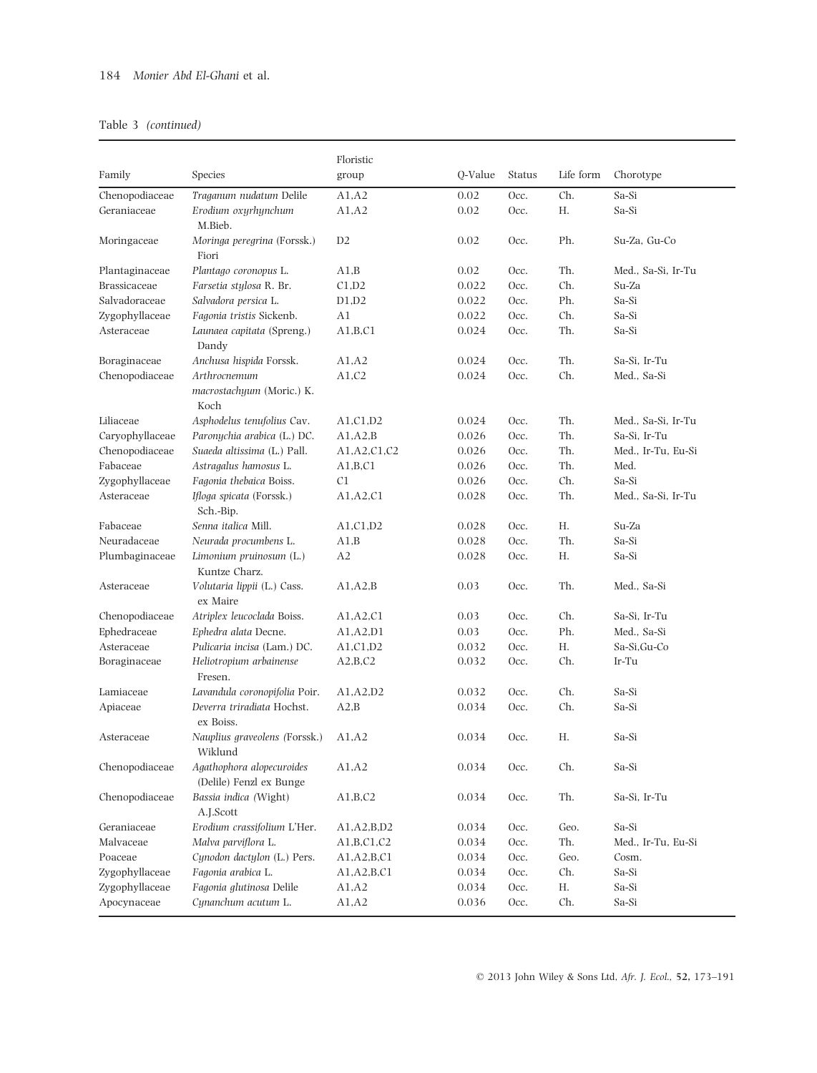|                     |                                                      | Floristic      |         |               |           |                    |
|---------------------|------------------------------------------------------|----------------|---------|---------------|-----------|--------------------|
| Family              | Species                                              | group          | Q-Value | <b>Status</b> | Life form | Chorotype          |
| Chenopodiaceae      | Traganum nudatum Delile                              | A1,A2          | 0.02    | Occ.          | Ch.       | Sa-Si              |
| Geraniaceae         | Erodium oxyrhynchum<br>M.Bieb.                       | A1,A2          | 0.02    | Occ.          | Н.        | Sa-Si              |
| Moringaceae         | Moringa peregrina (Forssk.)<br>Fiori                 | D2             | 0.02    | Occ.          | Ph.       | Su-Za, Gu-Co       |
| Plantaginaceae      | Plantago coronopus L.                                | A1.B           | 0.02    | Occ.          | Th.       | Med., Sa-Si, Ir-Tu |
| <b>Brassicaceae</b> | Farsetia stylosa R. Br.                              | C1,D2          | 0.022   | Occ.          | Ch.       | Su-Za              |
| Salvadoraceae       | Salvadora persica L.                                 | D1,D2          | 0.022   | Occ.          | Ph.       | Sa-Si              |
| Zygophyllaceae      | Fagonia tristis Sickenb.                             | A1             | 0.022   | Occ.          | Ch.       | Sa-Si              |
| Asteraceae          | Launaea capitata (Spreng.)<br>Dandy                  | A1,B,C1        | 0.024   | Occ.          | Th.       | Sa-Si              |
| Boraginaceae        | Anchusa hispida Forssk.                              | A1.A2          | 0.024   | Occ.          | Th.       | Sa-Si, Ir-Tu       |
| Chenopodiaceae      | Arthrocnemum<br>macrostachyum (Moric.) K.<br>Koch    | A1,C2          | 0.024   | Occ.          | Ch.       | Med., Sa-Si        |
| Liliaceae           | Asphodelus tenufolius Cav.                           | A1.C1.D2       | 0.024   | Occ.          | Th.       | Med., Sa-Si, Ir-Tu |
| Caryophyllaceae     | Paronychia arabica (L.) DC.                          | A1.A2.B        | 0.026   | Occ.          | Th.       | Sa-Si, Ir-Tu       |
| Chenopodiaceae      | Suaeda altissima (L.) Pall.                          | A1, A2, C1, C2 | 0.026   | Occ.          | Th.       | Med., Ir-Tu, Eu-Si |
| Fabaceae            | Astragalus hamosus L.                                | A1,B,C1        | 0.026   | Occ.          | Th.       | Med.               |
| Zygophyllaceae      | Fagonia thebaica Boiss.                              | C <sub>1</sub> | 0.026   | Occ.          | Ch.       | Sa-Si              |
| Asteraceae          | Ifloga spicata (Forssk.)<br>Sch.-Bip.                | A1, A2, C1     | 0.028   | Occ.          | Th.       | Med., Sa-Si, Ir-Tu |
| Fabaceae            | Senna italica Mill.                                  | A1, C1, D2     | 0.028   | Occ.          | Н.        | Su-Za              |
| Neuradaceae         | Neurada procumbens L.                                | A1,B           | 0.028   | Occ.          | Th.       | Sa-Si              |
| Plumbaginaceae      | Limonium pruinosum (L.)<br>Kuntze Charz.             | A2             | 0.028   | Occ.          | Н.        | Sa-Si              |
| Asteraceae          | Volutaria lippii (L.) Cass.<br>ex Maire              | A1, A2, B      | 0.03    | Occ.          | Th.       | Med., Sa-Si        |
| Chenopodiaceae      | Atriplex leucoclada Boiss.                           | A1, A2, C1     | 0.03    | Occ.          | Ch.       | Sa-Si, Ir-Tu       |
| Ephedraceae         | Ephedra alata Decne.                                 | A1.A2.D1       | 0.03    | Occ.          | Ph.       | Med., Sa-Si        |
| Asteraceae          | Pulicaria incisa (Lam.) DC.                          | A1,C1,D2       | 0.032   | Occ.          | Н.        | Sa-Si, Gu-Co       |
| Boraginaceae        | Heliotropium arbainense<br>Fresen.                   | A2,B,C2        | 0.032   | Occ.          | Ch.       | Ir-Tu              |
| Lamiaceae           | Lavandula coronopifolia Poir.                        | A1.A2.D2       | 0.032   | Occ.          | Ch.       | Sa-Si              |
| Apiaceae            | Deverra triradiata Hochst.<br>ex Boiss.              | A2,B           | 0.034   | Occ.          | Ch.       | Sa-Si              |
| Asteraceae          | Nauplius graveolens (Forssk.)<br>Wiklund             | A1.A2          | 0.034   | Occ.          | Н.        | Sa-Si              |
| Chenopodiaceae      | Agathophora alopecuroides<br>(Delile) Fenzl ex Bunge | A1, A2         | 0.034   | Occ.          | Ch.       | Sa-Si              |
| Chenopodiaceae      | Bassia indica (Wight)<br>A.J.Scott                   | A1,B,C2        | 0.034   | Occ.          | Th.       | Sa-Si, Ir-Tu       |
| Geraniaceae         | Erodium crassifolium L'Her.                          | A1,A2,B,D2     | 0.034   | Occ.          | Geo.      | Sa-Si              |
| Malvaceae           | Malva parviflora L.                                  | A1,B,C1,C2     | 0.034   | Occ.          | Th.       | Med., Ir-Tu, Eu-Si |
| Poaceae             | Cynodon dactylon (L.) Pers.                          | A1,A2,B,C1     | 0.034   | Occ.          | Geo.      | Cosm.              |
| Zygophyllaceae      | Fagonia arabica L.                                   | A1,A2,B,C1     | 0.034   | Occ.          | Ch.       | Sa-Si              |
| Zygophyllaceae      | Fagonia glutinosa Delile                             | A1, A2         | 0.034   | Occ.          | Н.        | Sa-Si              |
| Apocynaceae         | Cynanchum acutum L.                                  | A1, A2         | 0.036   | Occ.          | Ch.       | Sa-Si              |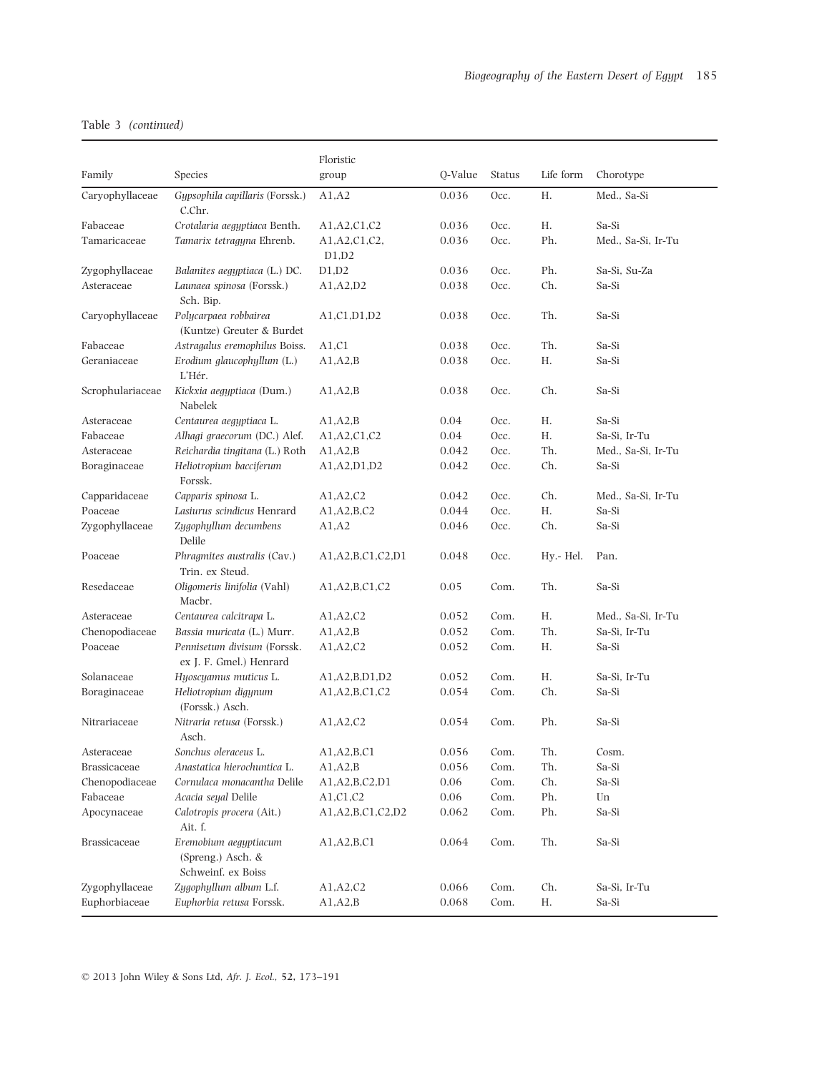|                     |                                                                  | Floristic                |         |        |           |                    |
|---------------------|------------------------------------------------------------------|--------------------------|---------|--------|-----------|--------------------|
| Family              | Species                                                          | group                    | Q-Value | Status | Life form | Chorotype          |
| Carvophyllaceae     | Gypsophila capillaris (Forssk.)<br>C.Chr.                        | A1, A2                   | 0.036   | Occ.   | Η.        | Med., Sa-Si        |
| Fabaceae            | Crotalaria aegyptiaca Benth.                                     | A1, A2, C1, C2           | 0.036   | Occ.   | Н.        | Sa-Si              |
| Tamaricaceae        | Tamarix tetragyna Ehrenb.                                        | A1, A2, C1, C2,<br>D1,D2 | 0.036   | Occ.   | Ph.       | Med., Sa-Si, Ir-Tu |
| Zygophyllaceae      | Balanites aegyptiaca (L.) DC.                                    | D1,D2                    | 0.036   | Occ.   | Ph.       | Sa-Si, Su-Za       |
| Asteraceae          | Launaea spinosa (Forssk.)<br>Sch. Bip.                           | A1.A2.D2                 | 0.038   | Occ.   | Ch.       | Sa-Si              |
| Caryophyllaceae     | Polycarpaea robbairea<br>(Kuntze) Greuter & Burdet               | A1, C1, D1, D2           | 0.038   | Occ.   | Th.       | Sa-Si              |
| Fabaceae            | Astragalus eremophilus Boiss.                                    | A1.C1                    | 0.038   | Occ.   | Th.       | Sa-Si              |
| Geraniaceae         | Erodium glaucophyllum (L.)<br>L'Hér.                             | A1, A2, B                | 0.038   | Occ.   | Η.        | Sa-Si              |
| Scrophulariaceae    | Kickxia aegyptiaca (Dum.)<br>Nabelek                             | A1, A2, B                | 0.038   | Occ.   | Ch.       | Sa-Si              |
| Asteraceae          | Centaurea aegyptiaca L.                                          | A1, A2, B                | 0.04    | Occ.   | Н.        | Sa-Si              |
| Fabaceae            | Alhagi graecorum (DC.) Alef.                                     | A1, A2, C1, C2           | 0.04    | Occ.   | Η.        | Sa-Si, Ir-Tu       |
| Asteraceae          | Reichardia tingitana (L.) Roth                                   | A1, A2, B                | 0.042   | Occ.   | Th.       | Med., Sa-Si, Ir-Tu |
| Boraginaceae        | Heliotropium bacciferum<br>Forssk.                               | A1,A2,D1,D2              | 0.042   | Occ.   | Ch.       | Sa-Si              |
| Capparidaceae       | Capparis spinosa L.                                              | A1, A2, C2               | 0.042   | Occ.   | Ch.       | Med., Sa-Si, Ir-Tu |
| Poaceae             | Lasiurus scindicus Henrard                                       | A1, A2, B, C2            | 0.044   | Occ.   | Η.        | Sa-Si              |
| Zygophyllaceae      | Zygophyllum decumbens<br>Delile                                  | A1, A2                   | 0.046   | Occ.   | Ch.       | Sa-Si              |
| Poaceae             | Phragmites australis (Cav.)<br>Trin. ex Steud.                   | A1,A2,B,C1,C2,D1         | 0.048   | Occ.   | Hy.- Hel. | Pan.               |
| Resedaceae          | Oligomeris linifolia (Vahl)<br>Macbr.                            | A1,A2,B,C1,C2            | 0.05    | Com.   | Th.       | Sa-Si              |
| Asteraceae          | Centaurea calcitrapa L.                                          | A1, A2, C2               | 0.052   | Com.   | Н.        | Med., Sa-Si, Ir-Tu |
| Chenopodiaceae      | Bassia muricata (L.) Murr.                                       | A1, A2, B                | 0.052   | Com.   | Th.       | Sa-Si, Ir-Tu       |
| Poaceae             | Pennisetum divisum (Forssk.<br>ex J. F. Gmel.) Henrard           | A1, A2, C2               | 0.052   | Com.   | Η.        | Sa-Si              |
| Solanaceae          | Hyoscyamus muticus L.                                            | A1,A2,B,D1,D2            | 0.052   | Com.   | Η.        | Sa-Si, Ir-Tu       |
| Boraginaceae        | Heliotropium digynum<br>(Forssk.) Asch.                          | A1, A2, B, C1, C2        | 0.054   | Com.   | Ch.       | Sa-Si              |
| Nitrariaceae        | Nitraria retusa (Forssk.)<br>Asch.                               | A1, A2, C2               | 0.054   | Com.   | Ph.       | Sa-Si              |
| Asteraceae          | Sonchus oleraceus L.                                             | A1,A2,B,C1               | 0.056   | Com.   | Th.       | Cosm.              |
| <b>Brassicaceae</b> | Anastatica hierochuntica L.                                      | A1, A2, B                | 0.056   | Com.   | Th.       | Sa-Si              |
| Chenopodiaceae      | Cornulaca monacantha Delile                                      | A1, A2, B, C2, D1        | 0.06    | Com.   | Ch.       | Sa-Si              |
| Fabaceae            | Acacia seyal Delile                                              | A1,C1,C2                 | 0.06    | Com.   | Ph.       | Un                 |
| Apocynaceae         | Calotropis procera (Ait.)<br>Ait. f.                             | A1,A2,B,C1,C2,D2         | 0.062   | Com.   | Ph.       | Sa-Si              |
| Brassicaceae        | Eremobium aegyptiacum<br>(Spreng.) Asch. &<br>Schweinf. ex Boiss | A1,A2,B,C1               | 0.064   | Com.   | Th.       | Sa-Si              |
| Zygophyllaceae      | Zygophyllum album L.f.                                           | A1, A2, C2               | 0.066   | Com.   | Ch.       | Sa-Si, Ir-Tu       |
| Euphorbiaceae       | Euphorbia retusa Forssk.                                         | A1, A2, B                | 0.068   | Com.   | Η.        | Sa-Si              |

© 2013 John Wiley & Sons Ltd, Afr. J. Ecol., 52, 173–191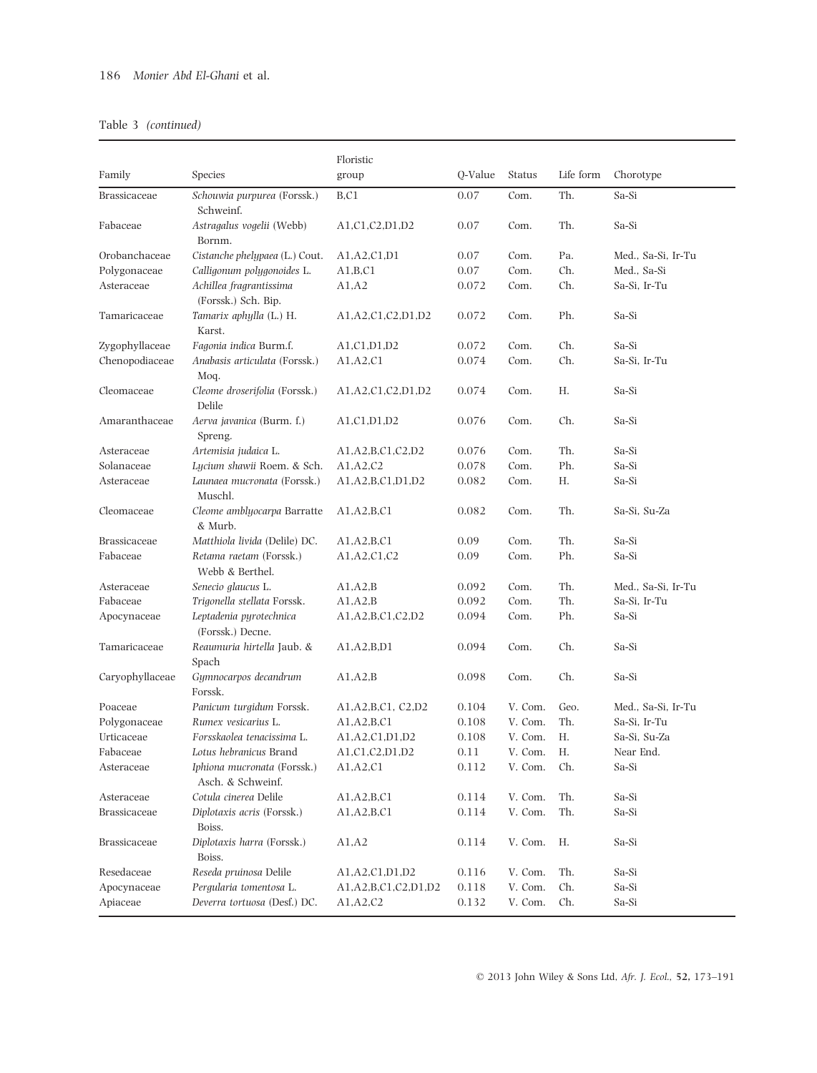|                     |                                                  | Floristic                 |         |               |           |                    |
|---------------------|--------------------------------------------------|---------------------------|---------|---------------|-----------|--------------------|
| Family              | Species                                          | group                     | Q-Value | <b>Status</b> | Life form | Chorotype          |
| <b>Brassicaceae</b> | Schouwia purpurea (Forssk.)<br>Schweinf.         | B.C1                      | 0.07    | Com.          | Th.       | Sa-Si              |
| Fabaceae            | Astragalus vogelii (Webb)<br>Bornm.              | A1,C1,C2,D1,D2            | 0.07    | Com.          | Th.       | Sa-Si              |
| Orobanchaceae       | Cistanche phelypaea (L.) Cout.                   | A1,A2,C1,D1               | 0.07    | Com.          | Pa.       | Med., Sa-Si, Ir-Tu |
| Polygonaceae        | Calligonum polygonoides L.                       | A1,B,C1                   | 0.07    | Com.          | Ch.       | Med., Sa-Si        |
| Asteraceae          | Achillea fragrantissima<br>(Forssk.) Sch. Bip.   | A1, A2                    | 0.072   | Com.          | Ch.       | Sa-Si, Ir-Tu       |
| Tamaricaceae        | Tamarix aphylla (L.) H.<br>Karst.                | A1,A2,C1,C2,D1,D2         | 0.072   | Com.          | Ph.       | Sa-Si              |
| Zygophyllaceae      | Fagonia indica Burm.f.                           | A1,C1,D1,D2               | 0.072   | Com.          | Ch.       | Sa-Si              |
| Chenopodiaceae      | Anabasis articulata (Forssk.)<br>Moq.            | A1, A2, C1                | 0.074   | Com.          | Ch.       | Sa-Si, Ir-Tu       |
| Cleomaceae          | Cleome droserifolia (Forssk.)<br>Delile          | A1, A2, C1, C2, D1, D2    | 0.074   | Com.          | Н.        | Sa-Si              |
| Amaranthaceae       | Aerva javanica (Burm. f.)<br>Spreng.             | A1, C1, D1, D2            | 0.076   | Com.          | Ch.       | Sa-Si              |
| Asteraceae          | Artemisia judaica L.                             | A1, A2, B, C1, C2, D2     | 0.076   | Com.          | Th.       | Sa-Si              |
| Solanaceae          | Lycium shawii Roem. & Sch.                       | A1, A2, C2                | 0.078   | Com.          | Ph.       | Sa-Si              |
| Asteraceae          | Launaea mucronata (Forssk.)<br>Muschl.           | A1, A2, B, C1, D1, D2     | 0.082   | Com.          | Н.        | Sa-Si              |
| Cleomaceae          | Cleome amblyocarpa Barratte<br>& Murb.           | A1,A2,B,C1                | 0.082   | Com.          | Th.       | Sa-Si, Su-Za       |
| Brassicaceae        | Matthiola livida (Delile) DC.                    | A1,A2,B,C1                | 0.09    | Com.          | Th.       | Sa-Si              |
| Fabaceae            | Retama raetam (Forssk.)<br>Webb & Berthel.       | A1, A2, C1, C2            | 0.09    | Com.          | Ph.       | Sa-Si              |
| Asteraceae          | Senecio glaucus L.                               | A1, A2, B                 | 0.092   | Com.          | Th.       | Med., Sa-Si, Ir-Tu |
| Fabaceae            | Trigonella stellata Forssk.                      | A1, A2, B                 | 0.092   | Com.          | Th.       | Sa-Si, Ir-Tu       |
| Apocynaceae         | Leptadenia pyrotechnica<br>(Forssk.) Decne.      | A1,A2,B,C1,C2,D2          | 0.094   | Com.          | Ph.       | Sa-Si              |
| Tamaricaceae        | Reaumuria hirtella Jaub. &<br>Spach              | A1,A2,B,D1                | 0.094   | Com.          | Ch.       | Sa-Si              |
| Caryophyllaceae     | Gymnocarpos decandrum<br>Forssk.                 | A1, A2, B                 | 0.098   | Com.          | Ch.       | Sa-Si              |
| Poaceae             | Panicum turgidum Forssk.                         | A1, A2, B, C1, C2, D2     | 0.104   | V. Com.       | Geo.      | Med., Sa-Si, Ir-Tu |
| Polygonaceae        | Rumex vesicarius L.                              | A1,A2,B,C1                | 0.108   | V. Com.       | Th.       | Sa-Si, Ir-Tu       |
| Urticaceae          | Forsskaolea tenacissima L.                       | A1,A2,C1,D1,D2            | 0.108   | V. Com.       | Η.        | Sa-Si, Su-Za       |
| Fabaceae            | Lotus hebranicus Brand                           | A1,C1,C2,D1,D2            | 0.11    | V. Com.       | Н.        | Near End.          |
| Asteraceae          | Iphiona mucronata (Forssk.)<br>Asch. & Schweinf. | A1, A2, C1                | 0.112   | V. Com.       | Ch.       | Sa-Si              |
| Asteraceae          | Cotula cinerea Delile                            | A1,A2,B,C1                | 0.114   | V. Com.       | Th.       | Sa-Si              |
| Brassicaceae        | Diplotaxis acris (Forssk.)<br>Boiss.             | A1,A2,B,C1                | 0.114   | V. Com.       | Th.       | Sa-Si              |
| Brassicaceae        | Diplotaxis harra (Forssk.)<br>Boiss.             | A1, A2                    | 0.114   | V. Com.       | Н.        | Sa-Si              |
| Resedaceae          | Reseda pruinosa Delile                           | A1, A2, C1, D1, D2        | 0.116   | V. Com.       | Th.       | Sa-Si              |
| Apocynaceae         | Pergularia tomentosa L.                          | A1, A2, B, C1, C2, D1, D2 | 0.118   | V. Com.       | Ch.       | Sa-Si              |
| Apiaceae            | Deverra tortuosa (Desf.) DC.                     | A1,A2,C2                  | 0.132   | V. Com.       | Ch.       | Sa-Si              |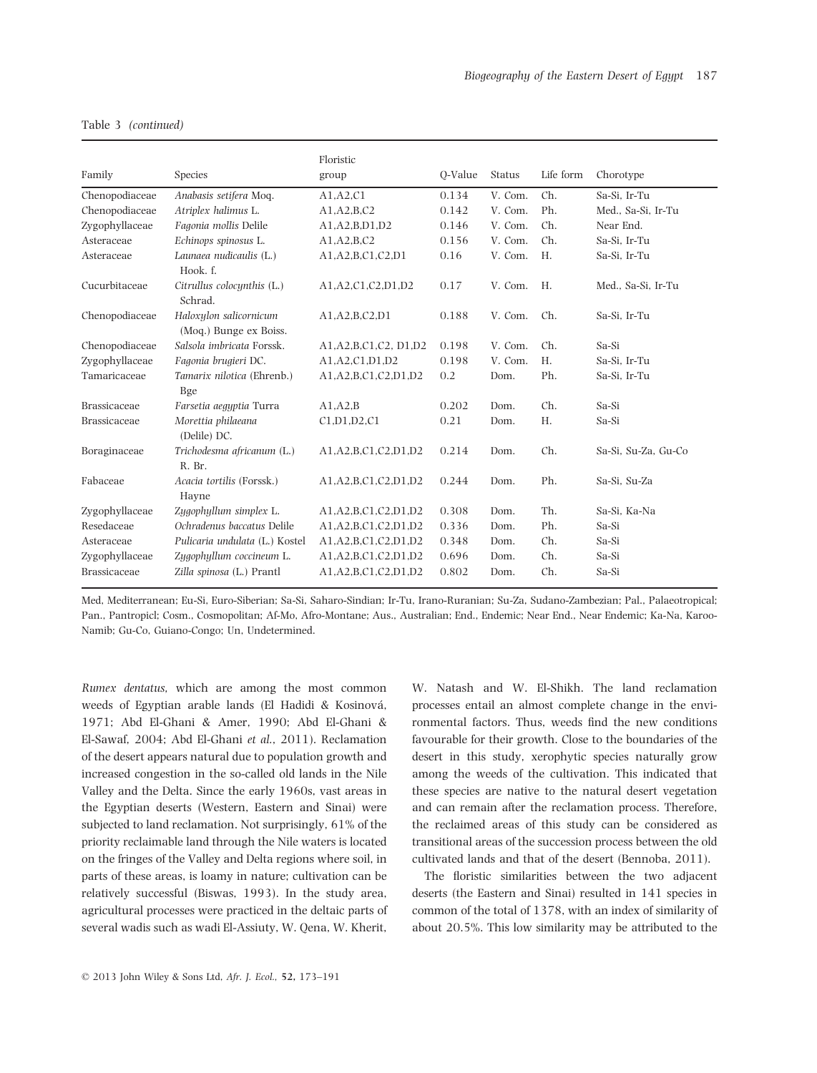| Family              | Species                                          | Floristic<br>group        | O-Value | <b>Status</b> | Life form | Chorotype           |
|---------------------|--------------------------------------------------|---------------------------|---------|---------------|-----------|---------------------|
| Chenopodiaceae      | Anabasis setifera Moq.                           | A1.A2.C1                  | 0.134   | V. Com.       | Ch.       | Sa-Si, Ir-Tu        |
| Chenopodiaceae      | Atriplex halimus L.                              | A1,A2,B,C2                | 0.142   | V. Com.       | Ph.       | Med., Sa-Si, Ir-Tu  |
| Zygophyllaceae      | Fagonia mollis Delile                            | A1,A2,B,D1,D2             | 0.146   | V. Com.       | Ch.       | Near End.           |
| Asteraceae          | Echinops spinosus L.                             | A1,A2,B,C2                | 0.156   | V. Com.       | Ch.       | Sa-Si, Ir-Tu        |
| Asteraceae          | Launaea nudicaulis (L.)<br>Hook. f.              | A1, A2, B, C1, C2, D1     | 0.16    | V. Com.       | H.        | Sa-Si, Ir-Tu        |
| Cucurbitaceae       | Citrullus colocunthis (L.)<br>Schrad.            | A1,A2,C1,C2,D1,D2         | 0.17    | V. Com.       | H.        | Med., Sa-Si, Ir-Tu  |
| Chenopodiaceae      | Haloxylon salicornicum<br>(Mog.) Bunge ex Boiss. | A1.A2.B.C2.D1             | 0.188   | V. Com.       | Ch.       | Sa-Si, Ir-Tu        |
| Chenopodiaceae      | Salsola imbricata Forssk.                        | A1, A2, B, C1, C2, D1, D2 | 0.198   | V. Com.       | Ch.       | Sa-Si               |
| Zygophyllaceae      | Fagonia brugieri DC.                             | A1.A2.C1.D1.D2            | 0.198   | V. Com.       | H.        | Sa-Si, Ir-Tu        |
| Tamaricaceae        | Tamarix nilotica (Ehrenb.)<br><b>Bge</b>         | A1,A2,B,C1,C2,D1,D2       | 0.2     | Dom.          | Ph.       | Sa-Si, Ir-Tu        |
| <b>Brassicaceae</b> | Farsetia aegyptia Turra                          | A1.A2.B                   | 0.202   | Dom.          | Ch.       | Sa-Si               |
| Brassicaceae        | Morettia philaeana<br>(Delile) DC.               | C1,D1,D2,C1               | 0.21    | Dom.          | H.        | Sa-Si               |
| Boraginaceae        | Trichodesma africanum (L.)<br>R. Br.             | A1,A2,B,C1,C2,D1,D2       | 0.214   | Dom.          | Ch.       | Sa-Si, Su-Za, Gu-Co |
| Fabaceae            | Acacia tortilis (Forssk.)<br>Hayne               | A1, A2, B, C1, C2, D1, D2 | 0.244   | Dom.          | Ph.       | Sa-Si, Su-Za        |
| Zygophyllaceae      | Zygophyllum simplex L.                           | A1,A2,B,C1,C2,D1,D2       | 0.308   | Dom.          | Th.       | Sa-Si, Ka-Na        |
| Resedaceae          | Ochradenus baccatus Delile                       | A1,A2,B,C1,C2,D1,D2       | 0.336   | Dom.          | Ph.       | Sa-Si               |
| Asteraceae          | Pulicaria undulata (L.) Kostel                   | A1,A2,B,C1,C2,D1,D2       | 0.348   | Dom.          | Ch.       | Sa-Si               |
| Zygophyllaceae      | Zygophyllum coccineum L.                         | A1,A2,B,C1,C2,D1,D2       | 0.696   | Dom.          | Ch.       | Sa-Si               |
| <b>Brassicaceae</b> | Zilla spinosa (L.) Prantl                        | A1,A2,B,C1,C2,D1,D2       | 0.802   | Dom.          | Ch.       | Sa-Si               |

Med, Mediterranean; Eu-Si, Euro-Siberian; Sa-Si, Saharo-Sindian; Ir-Tu, Irano-Ruranian; Su-Za, Sudano-Zambezian; Pal., Palaeotropical; Pan., Pantropicl; Cosm., Cosmopolitan; Af-Mo, Afro-Montane; Aus., Australian; End., Endemic; Near End., Near Endemic; Ka-Na, Karoo-Namib; Gu-Co, Guiano-Congo; Un, Undetermined.

Rumex dentatus, which are among the most common weeds of Egyptian arable lands (El Hadidi & Kosinová, 1971; Abd El-Ghani & Amer, 1990; Abd El-Ghani & El-Sawaf, 2004; Abd El-Ghani et al., 2011). Reclamation of the desert appears natural due to population growth and increased congestion in the so-called old lands in the Nile Valley and the Delta. Since the early 1960s, vast areas in the Egyptian deserts (Western, Eastern and Sinai) were subjected to land reclamation. Not surprisingly, 61% of the priority reclaimable land through the Nile waters is located on the fringes of the Valley and Delta regions where soil, in parts of these areas, is loamy in nature; cultivation can be relatively successful (Biswas, 1993). In the study area, agricultural processes were practiced in the deltaic parts of several wadis such as wadi El-Assiuty, W. Qena, W. Kherit,

W. Natash and W. El-Shikh. The land reclamation processes entail an almost complete change in the environmental factors. Thus, weeds find the new conditions favourable for their growth. Close to the boundaries of the desert in this study, xerophytic species naturally grow among the weeds of the cultivation. This indicated that these species are native to the natural desert vegetation and can remain after the reclamation process. Therefore, the reclaimed areas of this study can be considered as transitional areas of the succession process between the old cultivated lands and that of the desert (Bennoba, 2011).

The floristic similarities between the two adjacent deserts (the Eastern and Sinai) resulted in 141 species in common of the total of 1378, with an index of similarity of about 20.5%. This low similarity may be attributed to the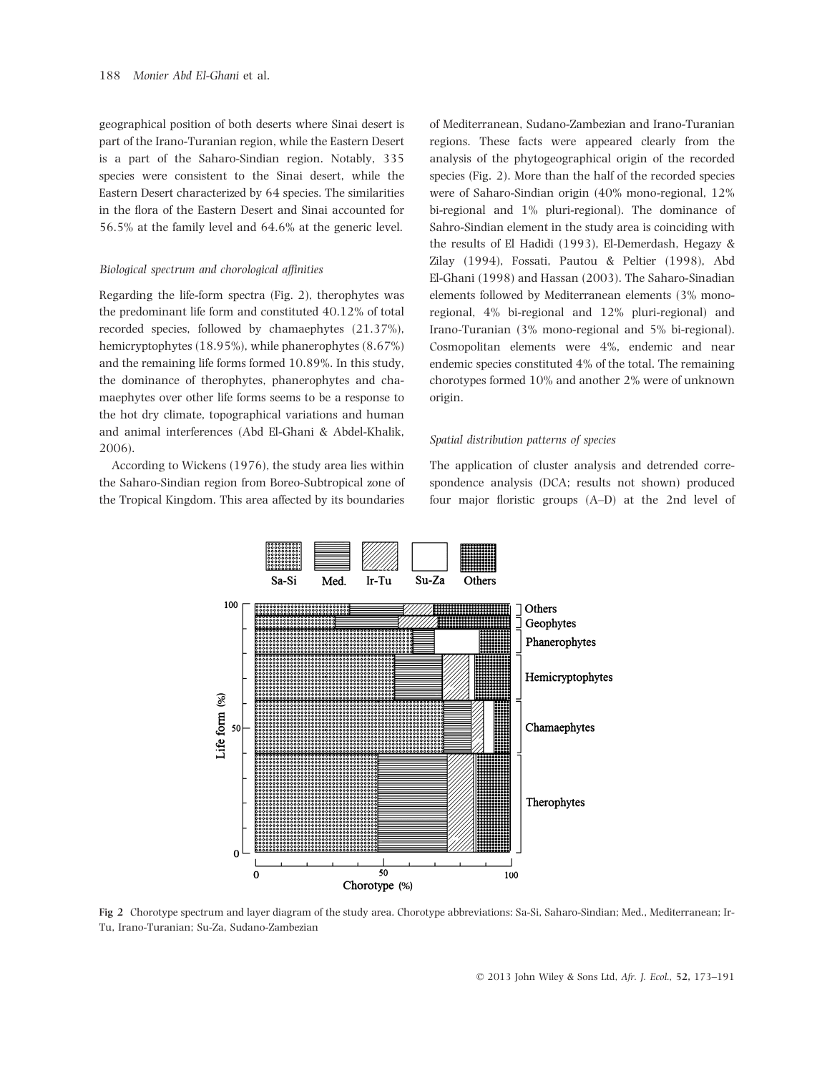geographical position of both deserts where Sinai desert is part of the Irano-Turanian region, while the Eastern Desert is a part of the Saharo-Sindian region. Notably, 335 species were consistent to the Sinai desert, while the Eastern Desert characterized by 64 species. The similarities in the flora of the Eastern Desert and Sinai accounted for 56.5% at the family level and 64.6% at the generic level.

#### Biological spectrum and chorological affinities

Regarding the life-form spectra (Fig. 2), therophytes was the predominant life form and constituted 40.12% of total recorded species, followed by chamaephytes (21.37%), hemicryptophytes (18.95%), while phanerophytes (8.67%) and the remaining life forms formed 10.89%. In this study, the dominance of therophytes, phanerophytes and chamaephytes over other life forms seems to be a response to the hot dry climate, topographical variations and human and animal interferences (Abd El-Ghani & Abdel-Khalik, 2006).

According to Wickens (1976), the study area lies within the Saharo-Sindian region from Boreo-Subtropical zone of the Tropical Kingdom. This area affected by its boundaries

of Mediterranean, Sudano-Zambezian and Irano-Turanian regions. These facts were appeared clearly from the analysis of the phytogeographical origin of the recorded species (Fig. 2). More than the half of the recorded species were of Saharo-Sindian origin (40% mono-regional, 12% bi-regional and 1% pluri-regional). The dominance of Sahro-Sindian element in the study area is coinciding with the results of El Hadidi (1993), El-Demerdash, Hegazy & Zilay (1994), Fossati, Pautou & Peltier (1998), Abd El-Ghani (1998) and Hassan (2003). The Saharo-Sinadian elements followed by Mediterranean elements (3% monoregional, 4% bi-regional and 12% pluri-regional) and Irano-Turanian (3% mono-regional and 5% bi-regional). Cosmopolitan elements were 4%, endemic and near endemic species constituted 4% of the total. The remaining chorotypes formed 10% and another 2% were of unknown origin.

#### Spatial distribution patterns of species

The application of cluster analysis and detrended correspondence analysis (DCA; results not shown) produced four major floristic groups (A–D) at the 2nd level of



Fig 2 Chorotype spectrum and layer diagram of the study area. Chorotype abbreviations: Sa-Si, Saharo-Sindian; Med., Mediterranean; Ir-Tu, Irano-Turanian; Su-Za, Sudano-Zambezian

© 2013 John Wiley & Sons Ltd, Afr. J. Ecol., 52, 173–191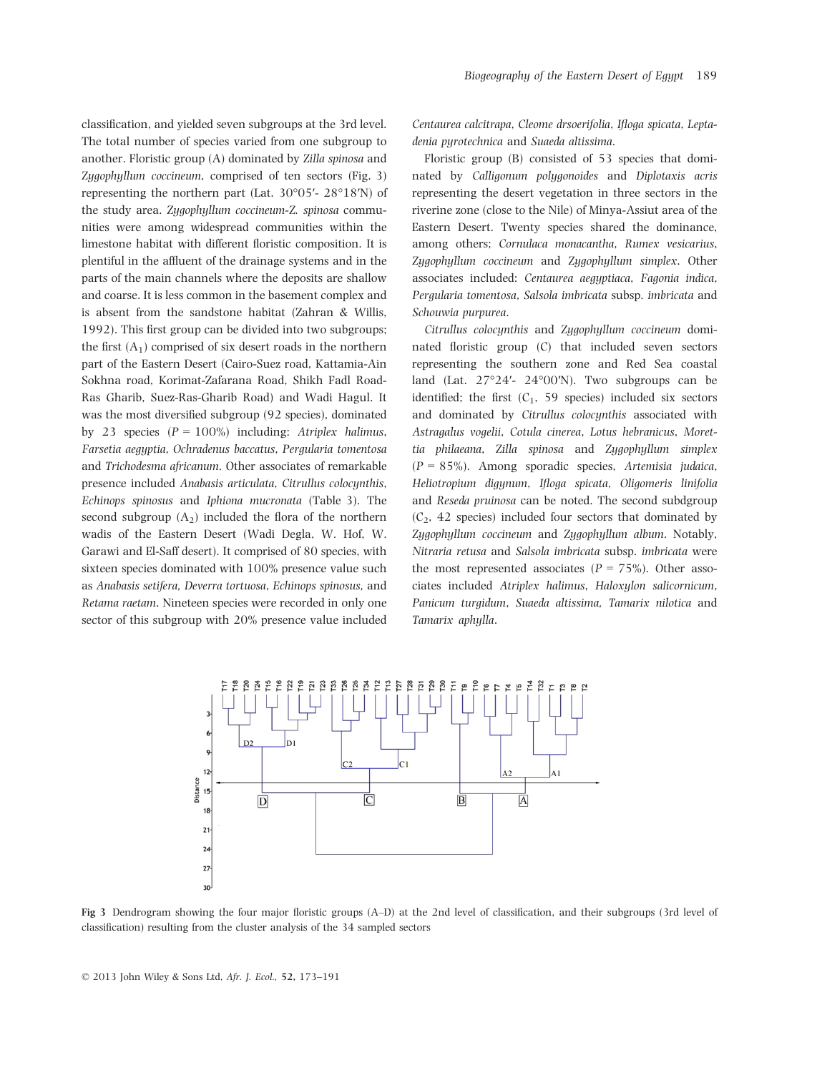classification, and yielded seven subgroups at the 3rd level. The total number of species varied from one subgroup to another. Floristic group (A) dominated by Zilla spinosa and Zygophyllum coccineum, comprised of ten sectors (Fig. 3) representing the northern part (Lat. 30°05′- 28°18′N) of the study area. Zygophyllum coccineum-Z. spinosa communities were among widespread communities within the limestone habitat with different floristic composition. It is plentiful in the affluent of the drainage systems and in the parts of the main channels where the deposits are shallow and coarse. It is less common in the basement complex and is absent from the sandstone habitat (Zahran & Willis, 1992). This first group can be divided into two subgroups; the first  $(A_1)$  comprised of six desert roads in the northern part of the Eastern Desert (Cairo-Suez road, Kattamia-Ain Sokhna road, Korimat-Zafarana Road, Shikh Fadl Road-Ras Gharib, Suez-Ras-Gharib Road) and Wadi Hagul. It was the most diversified subgroup (92 species), dominated by 23 species  $(P = 100\%)$  including: Atriplex halimus, Farsetia aegyptia, Ochradenus baccatus, Pergularia tomentosa and Trichodesma africanum. Other associates of remarkable presence included Anabasis articulata, Citrullus colocynthis, Echinops spinosus and Iphiona mucronata (Table 3). The second subgroup  $(A_2)$  included the flora of the northern wadis of the Eastern Desert (Wadi Degla, W. Hof, W. Garawi and El-Saff desert). It comprised of 80 species, with sixteen species dominated with 100% presence value such as Anabasis setifera, Deverra tortuosa, Echinops spinosus, and Retama raetam. Nineteen species were recorded in only one sector of this subgroup with 20% presence value included

Centaurea calcitrapa, Cleome drsoerifolia, Ifloga spicata, Leptadenia pyrotechnica and Suaeda altissima.

Floristic group (B) consisted of 53 species that dominated by Calligonum polygonoides and Diplotaxis acris representing the desert vegetation in three sectors in the riverine zone (close to the Nile) of Minya-Assiut area of the Eastern Desert. Twenty species shared the dominance, among others; Cornulaca monacantha, Rumex vesicarius, Zygophyllum coccineum and Zygophyllum simplex. Other associates included: Centaurea aegyptiaca, Fagonia indica, Pergularia tomentosa, Salsola imbricata subsp. imbricata and Schouwia purpurea.

Citrullus colocynthis and Zygophyllum coccineum dominated floristic group (C) that included seven sectors representing the southern zone and Red Sea coastal land (Lat. 27°24′- 24°00′N). Two subgroups can be identified; the first  $(C_1, 59$  species) included six sectors and dominated by Citrullus colocynthis associated with Astragalus vogelii, Cotula cinerea, Lotus hebranicus, Morettia philaeana, Zilla spinosa and Zygophyllum simplex (P = 85%). Among sporadic species, Artemisia judaica, Heliotropium digynum, Ifloga spicata, Oligomeris linifolia and Reseda pruinosa can be noted. The second subdgroup  $(C_2, 42$  species) included four sectors that dominated by Zygophyllum coccineum and Zygophyllum album. Notably, Nitraria retusa and Salsola imbricata subsp. imbricata were the most represented associates ( $P = 75\%$ ). Other associates included Atriplex halimus, Haloxylon salicornicum, Panicum turgidum, Suaeda altissima, Tamarix nilotica and Tamarix aphylla.



Fig 3 Dendrogram showing the four major floristic groups (A–D) at the 2nd level of classification, and their subgroups (3rd level of classification) resulting from the cluster analysis of the 34 sampled sectors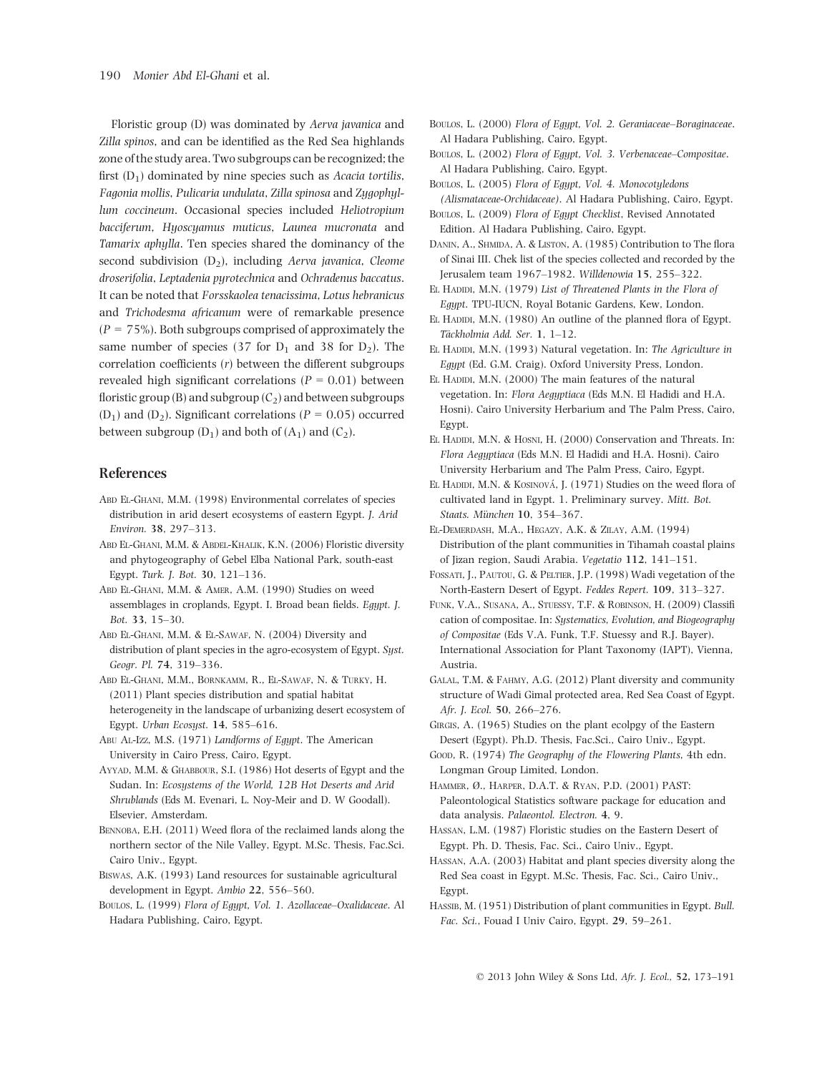Floristic group (D) was dominated by Aerva javanica and Zilla spinos, and can be identified as the Red Sea highlands zone of the study area. Two subgroups can be recognized; the first  $(D_1)$  dominated by nine species such as Acacia tortilis, Fagonia mollis, Pulicaria undulata, Zilla spinosa and Zygophyllum coccineum. Occasional species included Heliotropium bacciferum, Hyoscyamus muticus, Launea mucronata and Tamarix aphylla. Ten species shared the dominancy of the second subdivision  $(D_2)$ , including Aerva javanica, Cleome droserifolia, Leptadenia pyrotechnica and Ochradenus baccatus. It can be noted that Forsskaolea tenacissima, Lotus hebranicus and Trichodesma africanum were of remarkable presence  $(P = 75\%)$ . Both subgroups comprised of approximately the same number of species (37 for  $D_1$  and 38 for  $D_2$ ). The correlation coefficients (r) between the different subgroups revealed high significant correlations ( $P = 0.01$ ) between floristic group (B) and subgroup  $(C_2)$  and between subgroups  $(D_1)$  and  $(D_2)$ . Significant correlations ( $P = 0.05$ ) occurred between subgroup  $(D_1)$  and both of  $(A_1)$  and  $(C_2)$ .

#### References

- Abd El-Ghani, M.M. (1998) Environmental correlates of species distribution in arid desert ecosystems of eastern Egypt. J. Arid Environ. 38, 297–313.
- Abd El-Ghani, M.M. & Abdel-Khalik, K.N. (2006) Floristic diversity and phytogeography of Gebel Elba National Park, south-east Egypt. Turk. J. Bot. 30, 121–136.
- Abd El-Ghani, M.M. & Amer, A.M. (1990) Studies on weed assemblages in croplands, Egypt. I. Broad bean fields. Egypt. J. Bot. 33, 15–30.
- Abd El-Ghani, M.M. & El-Sawaf, N. (2004) Diversity and distribution of plant species in the agro-ecosystem of Egypt. Syst. Geogr. Pl. 74, 319–336.
- Abd El-Ghani, M.M., Bornkamm, R., El-Sawaf, N. & Turky, H. (2011) Plant species distribution and spatial habitat heterogeneity in the landscape of urbanizing desert ecosystem of Egypt. Urban Ecosyst. 14, 585–616.
- Abu Al-Izz, M.S. (1971) Landforms of Egypt. The American University in Cairo Press, Cairo, Egypt.
- Ayyad, M.M. & Ghabbour, S.I. (1986) Hot deserts of Egypt and the Sudan. In: Ecosystems of the World, 12B Hot Deserts and Arid Shrublands (Eds M. Evenari, L. Noy-Meir and D. W Goodall). Elsevier, Amsterdam.
- BENNOBA, E.H. (2011) Weed flora of the reclaimed lands along the northern sector of the Nile Valley, Egypt. M.Sc. Thesis, Fac.Sci. Cairo Univ., Egypt.
- Biswas, A.K. (1993) Land resources for sustainable agricultural development in Egypt. Ambio 22, 556–560.
- Boulos, L. (1999) Flora of Egypt, Vol. 1. Azollaceae–Oxalidaceae. Al Hadara Publishing, Cairo, Egypt.
- Boulos, L. (2000) Flora of Egypt, Vol. 2. Geraniaceae–Boraginaceae. Al Hadara Publishing, Cairo, Egypt.
- BOULOS, L. (2002) Flora of Eaupt. Vol. 3. Verbenaceae–Compositae. Al Hadara Publishing, Cairo, Egypt.
- Boulos, L. (2005) Flora of Egypt, Vol. 4. Monocotyledons (Alismataceae-Orchidaceae). Al Hadara Publishing, Cairo, Egypt.
- Boulos, L. (2009) Flora of Egypt Checklist, Revised Annotated Edition. Al Hadara Publishing, Cairo, Egypt.
- DANIN, A., SHMIDA, A. & LISTON, A. (1985) Contribution to The flora of Sinai III. Chek list of the species collected and recorded by the Jerusalem team 1967–1982. Willdenowia 15, 255–322.
- EL HADIDI, M.N. (1979) List of Threatened Plants in the Flora of Egypt. TPU-IUCN, Royal Botanic Gardens, Kew, London.
- EL HADIDI, M.N. (1980) An outline of the planned flora of Egypt. Täckholmia Add. Ser. 1, 1-12.
- EL HADIDI, M.N. (1993) Natural vegetation. In: The Agriculture in Egypt (Ed. G.M. Craig). Oxford University Press, London.
- EL HADIDI, M.N. (2000) The main features of the natural vegetation. In: Flora Aeguptiaca (Eds M.N. El Hadidi and H.A. Hosni). Cairo University Herbarium and The Palm Press, Cairo, Egypt.
- EL HADIDI, M.N. & HOSNI, H. (2000) Conservation and Threats. In: Flora Aegyptiaca (Eds M.N. El Hadidi and H.A. Hosni). Cairo University Herbarium and The Palm Press, Cairo, Egypt.
- EL HADIDI, M.N. & KOSINOVÁ, J. (1971) Studies on the weed flora of cultivated land in Egypt. 1. Preliminary survey. Mitt. Bot. Staats. München 10, 354-367.
- El-Demerdash, M.A., Hegazy, A.K. & Zilay, A.M. (1994) Distribution of the plant communities in Tihamah coastal plains of Jizan region, Saudi Arabia. Vegetatio 112, 141–151.
- Fossati, J., Pautou, G. & Peltier, J.P. (1998) Wadi vegetation of the North-Eastern Desert of Egypt. Feddes Repert. 109, 313–327.
- Funk, V.A., Susana, A., Stuessy, T.F. & Robinson, H. (2009) Classifi cation of compositae. In: Systematics, Evolution, and Biogeography of Compositae (Eds V.A. Funk, T.F. Stuessy and R.J. Bayer). International Association for Plant Taxonomy (IAPT), Vienna, Austria.
- Galal, T.M. & Fahmy, A.G. (2012) Plant diversity and community structure of Wadi Gimal protected area, Red Sea Coast of Egypt. Afr. J. Ecol. 50, 266–276.
- GIRGIS, A. (1965) Studies on the plant ecolpgy of the Eastern Desert (Egypt). Ph.D. Thesis, Fac.Sci., Cairo Univ., Egypt.
- Good, R. (1974) The Geography of the Flowering Plants, 4th edn. Longman Group Limited, London.
- Hammer, Ø., Harper, D.A.T. & Ryan, P.D. (2001) PAST: Paleontological Statistics software package for education and data analysis. Palaeontol. Electron. 4, 9.
- Hassan, L.M. (1987) Floristic studies on the Eastern Desert of Egypt. Ph. D. Thesis, Fac. Sci., Cairo Univ., Egypt.
- Hassan, A.A. (2003) Habitat and plant species diversity along the Red Sea coast in Egypt. M.Sc. Thesis, Fac. Sci., Cairo Univ., Egypt.
- HASSIB, M. (1951) Distribution of plant communities in Egypt. Bull. Fac. Sci., Fouad I Univ Cairo, Egypt. 29, 59–261.